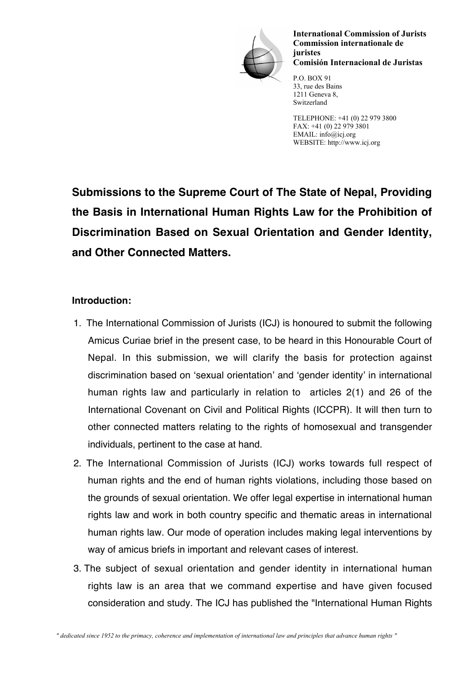

International Commission of Jurists Commission internationale de juristes Comisión Internacional de Juristas

P.O. BOX 91 33, rue des Bains 1211 Geneva 8, Switzerland

TELEPHONE: +41 (0) 22 979 3800 FAX: +41 (0) 22 979 3801 EMAIL: info@icj.org WEBSITE: http://www.icj.org

**Submissions to the Supreme Court of The State of Nepal, Providing the Basis in International Human Rights Law for the Prohibition of Discrimination Based on Sexual Orientation and Gender Identity, and Other Connected Matters.**

#### **Introduction:**

- 1. The International Commission of Jurists (ICJ) is honoured to submit the following Amicus Curiae brief in the present case, to be heard in this Honourable Court of Nepal. In this submission, we will clarify the basis for protection against discrimination based on 'sexual orientation' and 'gender identity' in international human rights law and particularly in relation to articles 2(1) and 26 of the International Covenant on Civil and Political Rights (ICCPR). It will then turn to other connected matters relating to the rights of homosexual and transgender individuals, pertinent to the case at hand.
- 2. The International Commission of Jurists (ICJ) works towards full respect of human rights and the end of human rights violations, including those based on the grounds of sexual orientation. We offer legal expertise in international human rights law and work in both country specific and thematic areas in international human rights law. Our mode of operation includes making legal interventions by way of amicus briefs in important and relevant cases of interest.
- 3. The subject of sexual orientation and gender identity in international human rights law is an area that we command expertise and have given focused consideration and study. The ICJ has published the "International Human Rights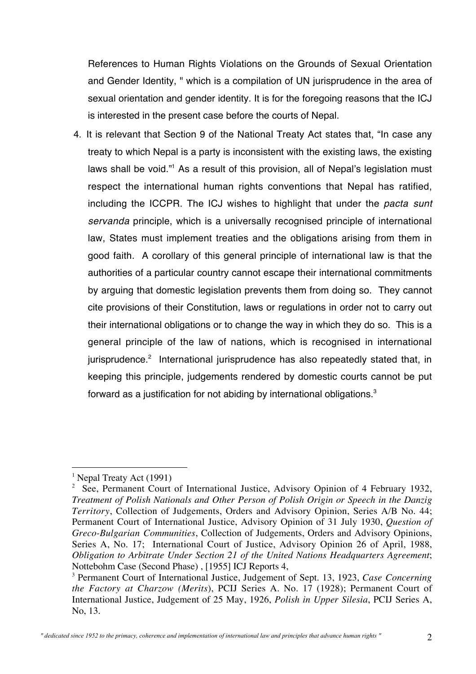References to Human Rights Violations on the Grounds of Sexual Orientation and Gender Identity, " which is a compilation of UN jurisprudence in the area of sexual orientation and gender identity. It is for the foregoing reasons that the ICJ is interested in the present case before the courts of Nepal.

4. It is relevant that Section 9 of the National Treaty Act states that, "In case any treaty to which Nepal is a party is inconsistent with the existing laws, the existing laws shall be void."<sup>1</sup> As a result of this provision, all of Nepal's legislation must respect the international human rights conventions that Nepal has ratified, including the ICCPR. The ICJ wishes to highlight that under the pacta sunt servanda principle, which is a universally recognised principle of international law, States must implement treaties and the obligations arising from them in good faith. A corollary of this general principle of international law is that the authorities of a particular country cannot escape their international commitments by arguing that domestic legislation prevents them from doing so. They cannot cite provisions of their Constitution, laws or regulations in order not to carry out their international obligations or to change the way in which they do so. This is a general principle of the law of nations, which is recognised in international jurisprudence.<sup>2</sup> International jurisprudence has also repeatedly stated that, in keeping this principle, judgements rendered by domestic courts cannot be put forward as a justification for not abiding by international obligations.<sup>3</sup>

<sup>|&</sup>lt;br>|<br>| <sup>1</sup> Nepal Treaty Act (1991)

<sup>&</sup>lt;sup>2</sup> See, Permanent Court of International Justice, Advisory Opinion of 4 February 1932, *Treatment of Polish Nationals and Other Person of Polish Origin or Speech in the Danzig Territory*, Collection of Judgements, Orders and Advisory Opinion, Series A/B No. 44; Permanent Court of International Justice, Advisory Opinion of 31 July 1930, *Question of Greco-Bulgarian Communities*, Collection of Judgements, Orders and Advisory Opinions, Series A, No. 17; International Court of Justice, Advisory Opinion 26 of April, 1988, *Obligation to Arbitrate Under Section 21 of the United Nations Headquarters Agreement*; Nottebohm Case (Second Phase) , [1955] ICJ Reports 4,

<sup>3</sup> Permanent Court of International Justice, Judgement of Sept. 13, 1923, *Case Concerning the Factory at Charzow (Merits*), PCIJ Series A. No. 17 (1928); Permanent Court of International Justice, Judgement of 25 May, 1926, *Polish in Upper Silesia*, PCIJ Series A, No, 13.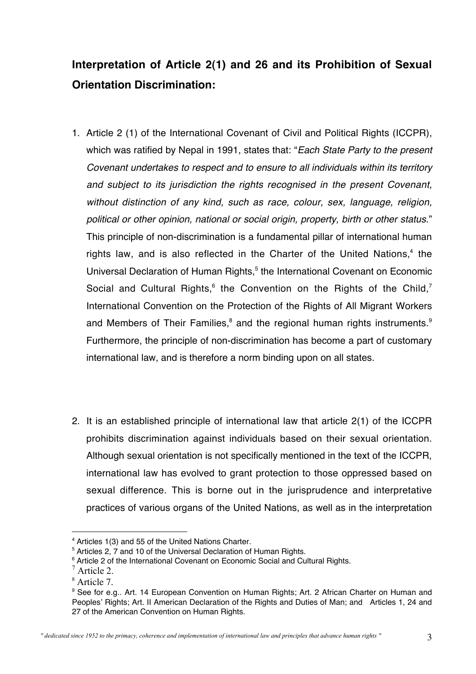# **Interpretation of Article 2(1) and 26 and its Prohibition of Sexual Orientation Discrimination:**

- 1. Article 2 (1) of the International Covenant of Civil and Political Rights (ICCPR), which was ratified by Nepal in 1991, states that: "*Each State Party to the present* Covenant undertakes to respect and to ensure to all individuals within its territory and subject to its jurisdiction the rights recognised in the present Covenant, without distinction of any kind, such as race, colour, sex, language, religion, political or other opinion, national or social origin, property, birth or other status." This principle of non-discrimination is a fundamental pillar of international human rights law, and is also reflected in the Charter of the United Nations, $4$  the Universal Declaration of Human Rights,<sup>5</sup> the International Covenant on Economic Social and Cultural Rights, $6$  the Convention on the Rights of the Child, $7$ International Convention on the Protection of the Rights of All Migrant Workers and Members of Their Families,<sup>8</sup> and the regional human rights instruments.<sup>9</sup> Furthermore, the principle of non-discrimination has become a part of customary international law, and is therefore a norm binding upon on all states.
- 2. It is an established principle of international law that article 2(1) of the ICCPR prohibits discrimination against individuals based on their sexual orientation. Although sexual orientation is not specifically mentioned in the text of the ICCPR, international law has evolved to grant protection to those oppressed based on sexual difference. This is borne out in the jurisprudence and interpretative practices of various organs of the United Nations, as well as in the interpretation

 $\overline{a}$ 4 Articles 1(3) and 55 of the United Nations Charter.

<sup>5</sup> Articles 2, 7 and 10 of the Universal Declaration of Human Rights.

<sup>6</sup> Article 2 of the International Covenant on Economic Social and Cultural Rights.

<sup>7</sup> Article 2.

<sup>8</sup> Article 7.

<sup>&</sup>lt;sup>9</sup> See for e.g.. Art. 14 European Convention on Human Rights; Art. 2 African Charter on Human and Peoples' Rights; Art. II American Declaration of the Rights and Duties of Man; and Articles 1, 24 and 27 of the American Convention on Human Rights.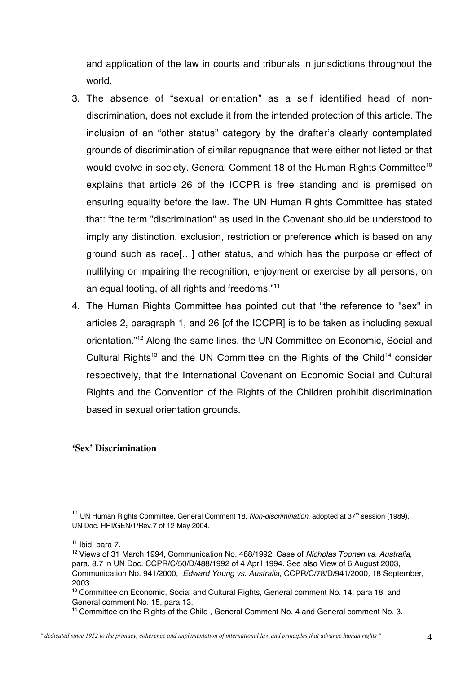and application of the law in courts and tribunals in jurisdictions throughout the world.

- 3. The absence of "sexual orientation" as a self identified head of nondiscrimination, does not exclude it from the intended protection of this article. The inclusion of an "other status" category by the drafter's clearly contemplated grounds of discrimination of similar repugnance that were either not listed or that would evolve in society. General Comment 18 of the Human Rights Committee<sup>10</sup> explains that article 26 of the ICCPR is free standing and is premised on ensuring equality before the law. The UN Human Rights Committee has stated that: "the term "discrimination" as used in the Covenant should be understood to imply any distinction, exclusion, restriction or preference which is based on any ground such as race[…] other status, and which has the purpose or effect of nullifying or impairing the recognition, enjoyment or exercise by all persons, on an equal footing, of all rights and freedoms."11
- 4. The Human Rights Committee has pointed out that "the reference to "sex" in articles 2, paragraph 1, and 26 [of the ICCPR] is to be taken as including sexual orientation."12 Along the same lines, the UN Committee on Economic, Social and Cultural Rights<sup>13</sup> and the UN Committee on the Rights of the Child<sup>14</sup> consider respectively, that the International Covenant on Economic Social and Cultural Rights and the Convention of the Rights of the Children prohibit discrimination based in sexual orientation grounds.

#### **'Sex' Discrimination**

 $^{10}$  UN Human Rights Committee, General Comment 18, Non-discrimination, adopted at 37<sup>th</sup> session (1989), UN Doc. HRI/GEN/1/Rev.7 of 12 May 2004.

 $11$  Ibid, para 7.

<sup>&</sup>lt;sup>12</sup> Views of 31 March 1994, Communication No. 488/1992, Case of Nicholas Toonen vs. Australia, para. 8.7 in UN Doc. CCPR/C/50/D/488/1992 of 4 April 1994. See also View of 6 August 2003, Communication No. 941/2000, Edward Young vs. Australia, CCPR/C/78/D/941/2000, 18 September, 2003.

<sup>&</sup>lt;sup>13</sup> Committee on Economic, Social and Cultural Rights, General comment No. 14, para 18 and General comment No. 15, para 13.

<sup>&</sup>lt;sup>14</sup> Committee on the Rights of the Child, General Comment No. 4 and General comment No. 3.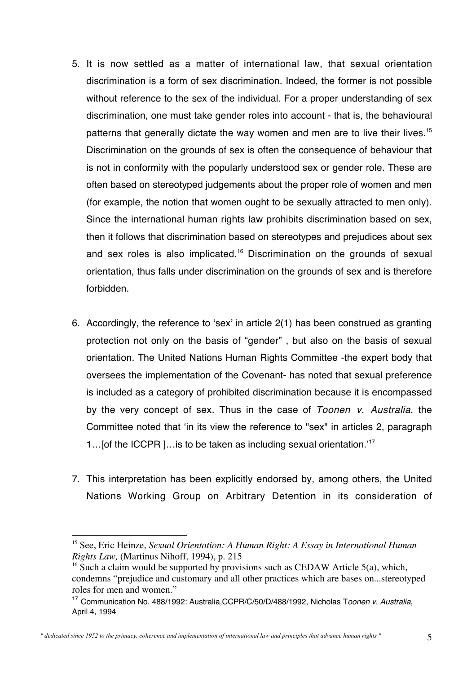- 5. It is now settled as a matter of international law, that sexual orientation discrimination is a form of sex discrimination. Indeed, the former is not possible without reference to the sex of the individual. For a proper understanding of sex discrimination, one must take gender roles into account - that is, the behavioural patterns that generally dictate the way women and men are to live their lives.<sup>15</sup> Discrimination on the grounds of sex is often the consequence of behaviour that is not in conformity with the popularly understood sex or gender role. These are often based on stereotyped judgements about the proper role of women and men (for example, the notion that women ought to be sexually attracted to men only). Since the international human rights law prohibits discrimination based on sex, then it follows that discrimination based on stereotypes and prejudices about sex and sex roles is also implicated.<sup>16</sup> Discrimination on the grounds of sexual orientation, thus falls under discrimination on the grounds of sex and is therefore forbidden.
- 6. Accordingly, the reference to 'sex' in article 2(1) has been construed as granting protection not only on the basis of "gender" , but also on the basis of sexual orientation. The United Nations Human Rights Committee -the expert body that oversees the implementation of the Covenant- has noted that sexual preference is included as a category of prohibited discrimination because it is encompassed by the very concept of sex. Thus in the case of Toonen v. Australia, the Committee noted that 'in its view the reference to "sex" in articles 2, paragraph 1…[of the ICCPR ]…is to be taken as including sexual orientation.' 17
- 7. This interpretation has been explicitly endorsed by, among others, the United Nations Working Group on Arbitrary Detention in its consideration of

 <sup>15</sup> See, Eric Heinze, *Sexual Orientation: A Human Right: A Essay in International Human Rights Law,* (Martinus Nihoff, 1994), p. 215

<sup>&</sup>lt;sup>16</sup> Such a claim would be supported by provisions such as CEDAW Article 5(a), which, condemns "prejudice and customary and all other practices which are bases on...stereotyped roles for men and women."

<sup>&</sup>lt;sup>17</sup> Communication No. 488/1992: Australia, CCPR/C/50/D/488/1992, Nicholas Toonen v. Australia, April 4, 1994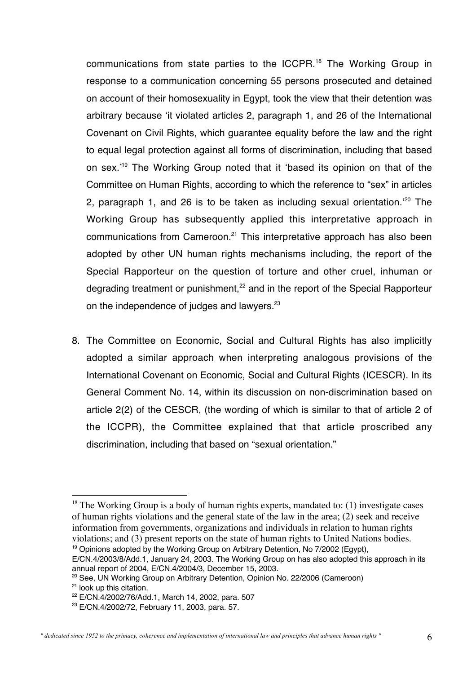communications from state parties to the ICCPR.<sup>18</sup> The Working Group in response to a communication concerning 55 persons prosecuted and detained on account of their homosexuality in Egypt, took the view that their detention was arbitrary because 'it violated articles 2, paragraph 1, and 26 of the International Covenant on Civil Rights, which guarantee equality before the law and the right to equal legal protection against all forms of discrimination, including that based on sex.' <sup>19</sup> The Working Group noted that it 'based its opinion on that of the Committee on Human Rights, according to which the reference to "sex" in articles 2, paragraph 1, and 26 is to be taken as including sexual orientation.<sup>20</sup> The Working Group has subsequently applied this interpretative approach in communications from Cameroon.<sup>21</sup> This interpretative approach has also been adopted by other UN human rights mechanisms including, the report of the Special Rapporteur on the question of torture and other cruel, inhuman or degrading treatment or punishment,<sup>22</sup> and in the report of the Special Rapporteur on the independence of judges and lawyers.<sup>23</sup>

8. The Committee on Economic, Social and Cultural Rights has also implicitly adopted a similar approach when interpreting analogous provisions of the International Covenant on Economic, Social and Cultural Rights (ICESCR). In its General Comment No. 14, within its discussion on non-discrimination based on article 2(2) of the CESCR, (the wording of which is similar to that of article 2 of the ICCPR), the Committee explained that that article proscribed any discrimination, including that based on "sexual orientation."

<sup>&</sup>lt;sup>18</sup> The Working Group is a body of human rights experts, mandated to: (1) investigate cases of human rights violations and the general state of the law in the area; (2) seek and receive information from governments, organizations and individuals in relation to human rights violations; and (3) present reports on the state of human rights to United Nations bodies. <sup>19</sup> Opinions adopted by the Working Group on Arbitrary Detention, No 7/2002 (Egypt),

E/CN.4/2003/8/Add.1, January 24, 2003. The Working Group on has also adopted this approach in its annual report of 2004, E/CN.4/2004/3, December 15, 2003.

<sup>&</sup>lt;sup>20</sup> See, UN Working Group on Arbitrary Detention, Opinion No. 22/2006 (Cameroon) <sup>21</sup> look up this citation.

<sup>&</sup>lt;sup>22</sup> E/CN.4/2002/76/Add.1, March 14, 2002, para. 507

<sup>&</sup>lt;sup>23</sup> E/CN.4/2002/72, February 11, 2003, para. 57.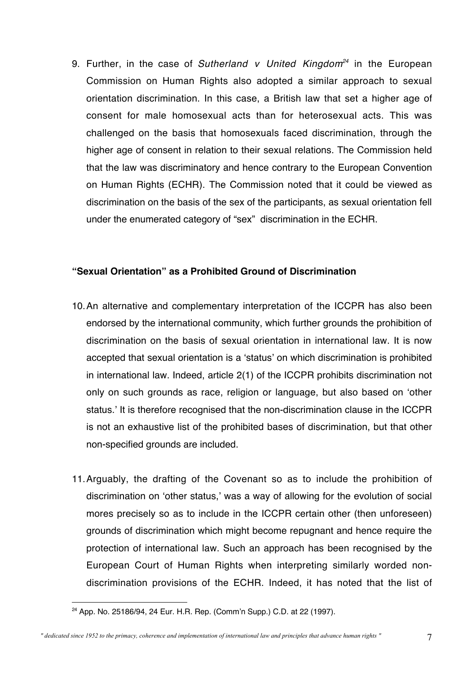9. Further, in the case of Sutherland v United Kingdom<sup>24</sup> in the European Commission on Human Rights also adopted a similar approach to sexual orientation discrimination. In this case, a British law that set a higher age of consent for male homosexual acts than for heterosexual acts. This was challenged on the basis that homosexuals faced discrimination, through the higher age of consent in relation to their sexual relations. The Commission held that the law was discriminatory and hence contrary to the European Convention on Human Rights (ECHR). The Commission noted that it could be viewed as discrimination on the basis of the sex of the participants, as sexual orientation fell under the enumerated category of "sex" discrimination in the ECHR.

#### **"Sexual Orientation" as a Prohibited Ground of Discrimination**

- 10.An alternative and complementary interpretation of the ICCPR has also been endorsed by the international community, which further grounds the prohibition of discrimination on the basis of sexual orientation in international law. It is now accepted that sexual orientation is a 'status' on which discrimination is prohibited in international law. Indeed, article 2(1) of the ICCPR prohibits discrimination not only on such grounds as race, religion or language, but also based on 'other status.' It is therefore recognised that the non-discrimination clause in the ICCPR is not an exhaustive list of the prohibited bases of discrimination, but that other non-specified grounds are included.
- 11.Arguably, the drafting of the Covenant so as to include the prohibition of discrimination on 'other status,' was a way of allowing for the evolution of social mores precisely so as to include in the ICCPR certain other (then unforeseen) grounds of discrimination which might become repugnant and hence require the protection of international law. Such an approach has been recognised by the European Court of Human Rights when interpreting similarly worded nondiscrimination provisions of the ECHR. Indeed, it has noted that the list of

 $\overline{a}$ <sup>24</sup> App. No. 25186/94, 24 Eur. H.R. Rep. (Comm'n Supp.) C.D. at 22 (1997).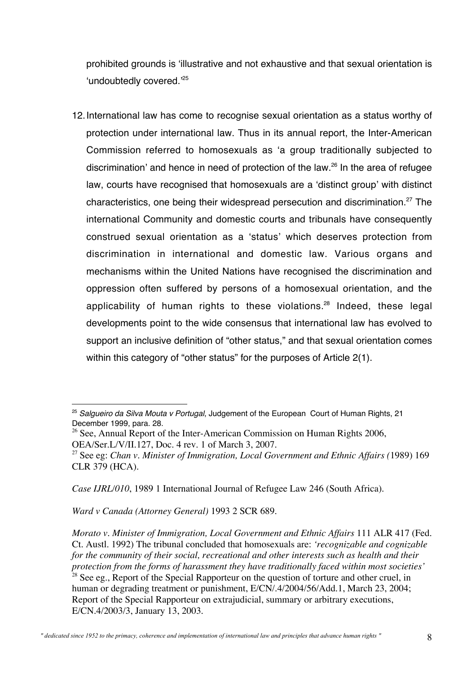prohibited grounds is 'illustrative and not exhaustive and that sexual orientation is 'undoubtedly covered.'<sup>25</sup>

12.International law has come to recognise sexual orientation as a status worthy of protection under international law. Thus in its annual report, the Inter-American Commission referred to homosexuals as 'a group traditionally subjected to discrimination' and hence in need of protection of the law.26 In the area of refugee law, courts have recognised that homosexuals are a 'distinct group' with distinct characteristics, one being their widespread persecution and discrimination.27 The international Community and domestic courts and tribunals have consequently construed sexual orientation as a 'status' which deserves protection from discrimination in international and domestic law. Various organs and mechanisms within the United Nations have recognised the discrimination and oppression often suffered by persons of a homosexual orientation, and the applicability of human rights to these violations.<sup>28</sup> Indeed, these legal developments point to the wide consensus that international law has evolved to support an inclusive definition of "other status," and that sexual orientation comes within this category of "other status" for the purposes of Article 2(1).

<sup>26</sup> See, Annual Report of the Inter-American Commission on Human Rights 2006, OEA/Ser.L/V/II.127, Doc. 4 rev. 1 of March 3, 2007.

*Case IJRL/010*, 1989 1 International Journal of Refugee Law 246 (South Africa).

*Ward v Canada (Attorney General)* 1993 2 SCR 689*.*

 $\overline{a}$ <sup>25</sup> Salgueiro da Silva Mouta v Portugal, Judgement of the European Court of Human Rights, 21 December 1999, para. 28.

<sup>27</sup> See eg: *Chan v. Minister of Immigration, Local Government and Ethnic Affairs (*1989) 169 CLR 379 (HCA).

*Morato v. Minister of Immigration, Local Government and Ethnic Affairs* 111 ALR 417 (Fed. Ct. Austl. 1992) The tribunal concluded that homosexuals are: *'recognizable and cognizable for the community of their social, recreational and other interests such as health and their protection from the forms of harassment they have traditionally faced within most societies'*  $28$  See eg., Report of the Special Rapporteur on the question of torture and other cruel, in human or degrading treatment or punishment, E/CN/.4/2004/56/Add.1, March 23, 2004; Report of the Special Rapporteur on extrajudicial, summary or arbitrary executions, E/CN.4/2003/3, January 13, 2003.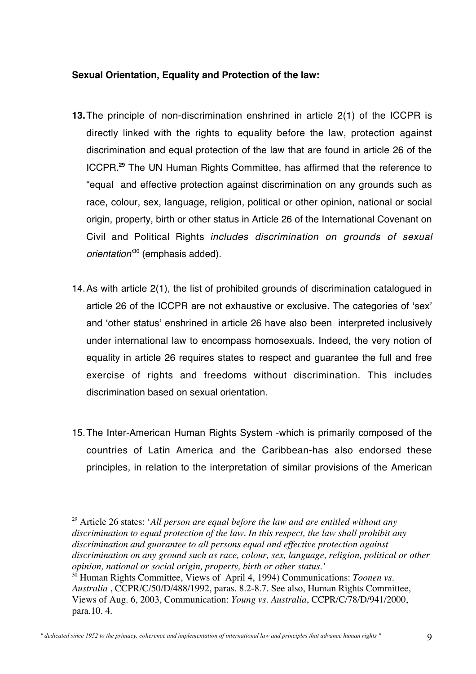#### **Sexual Orientation, Equality and Protection of the law:**

- **13.**The principle of non-discrimination enshrined in article 2(1) of the ICCPR is directly linked with the rights to equality before the law, protection against discrimination and equal protection of the law that are found in article 26 of the ICCPR.**<sup>29</sup>** The UN Human Rights Committee, has affirmed that the reference to "equal and effective protection against discrimination on any grounds such as race, colour, sex, language, religion, political or other opinion, national or social origin, property, birth or other status in Article 26 of the International Covenant on Civil and Political Rights includes discrimination on grounds of sexual orientation<sup>30</sup> (emphasis added).
- 14.As with article 2(1), the list of prohibited grounds of discrimination catalogued in article 26 of the ICCPR are not exhaustive or exclusive. The categories of 'sex' and 'other status' enshrined in article 26 have also been interpreted inclusively under international law to encompass homosexuals. Indeed, the very notion of equality in article 26 requires states to respect and guarantee the full and free exercise of rights and freedoms without discrimination. This includes discrimination based on sexual orientation.
- 15.The Inter-American Human Rights System -which is primarily composed of the countries of Latin America and the Caribbean-has also endorsed these principles, in relation to the interpretation of similar provisions of the American

 <sup>29</sup> Article 26 states: '*All person are equal before the law and are entitled without any discrimination to equal protection of the law. In this respect, the law shall prohibit any discrimination and guarantee to all persons equal and effective protection against discrimination on any ground such as race, colour, sex, language, religion, political or other opinion, national or social origin, property, birth or other status.'*

<sup>30</sup> Human Rights Committee, Views of April 4, 1994) Communications: *Toonen vs. Australia* , CCPR/C/50/D/488/1992, paras. 8.2-8.7. See also, Human Rights Committee, Views of Aug. 6, 2003, Communication: *Young vs. Australia*, CCPR/C/78/D/941/2000, para.10. 4.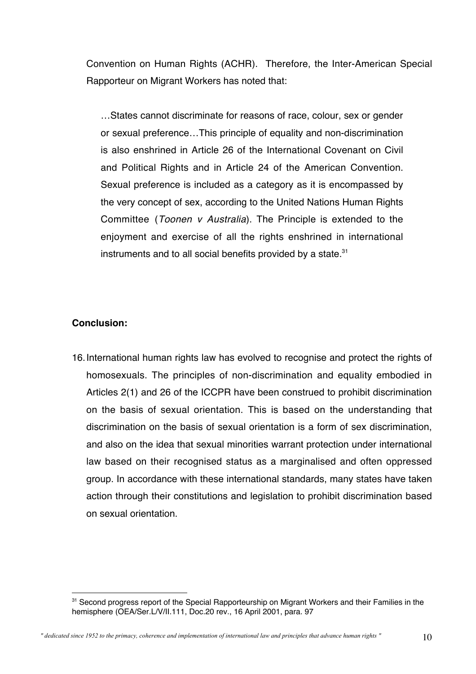Convention on Human Rights (ACHR). Therefore, the Inter-American Special Rapporteur on Migrant Workers has noted that:

…States cannot discriminate for reasons of race, colour, sex or gender or sexual preference…This principle of equality and non-discrimination is also enshrined in Article 26 of the International Covenant on Civil and Political Rights and in Article 24 of the American Convention. Sexual preference is included as a category as it is encompassed by the very concept of sex, according to the United Nations Human Rights Committee (Toonen v Australia). The Principle is extended to the enjoyment and exercise of all the rights enshrined in international instruments and to all social benefits provided by a state.<sup>31</sup>

#### **Conclusion:**

 $\overline{a}$ 

16.International human rights law has evolved to recognise and protect the rights of homosexuals. The principles of non-discrimination and equality embodied in Articles 2(1) and 26 of the ICCPR have been construed to prohibit discrimination on the basis of sexual orientation. This is based on the understanding that discrimination on the basis of sexual orientation is a form of sex discrimination, and also on the idea that sexual minorities warrant protection under international law based on their recognised status as a marginalised and often oppressed group. In accordance with these international standards, many states have taken action through their constitutions and legislation to prohibit discrimination based on sexual orientation.

<sup>&</sup>lt;sup>31</sup> Second progress report of the Special Rapporteurship on Migrant Workers and their Families in the hemisphere (OEA/Ser.L/V/II.111, Doc.20 rev., 16 April 2001, para. 97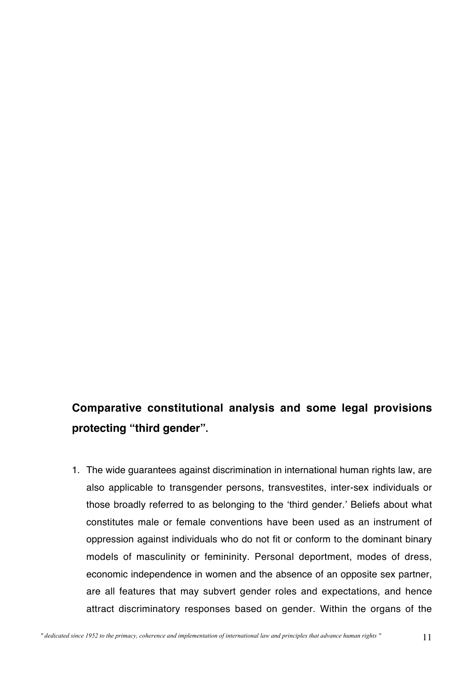# **Comparative constitutional analysis and some legal provisions protecting "third gender".**

1. The wide guarantees against discrimination in international human rights law, are also applicable to transgender persons, transvestites, inter-sex individuals or those broadly referred to as belonging to the 'third gender.' Beliefs about what constitutes male or female conventions have been used as an instrument of oppression against individuals who do not fit or conform to the dominant binary models of masculinity or femininity. Personal deportment, modes of dress, economic independence in women and the absence of an opposite sex partner, are all features that may subvert gender roles and expectations, and hence attract discriminatory responses based on gender. Within the organs of the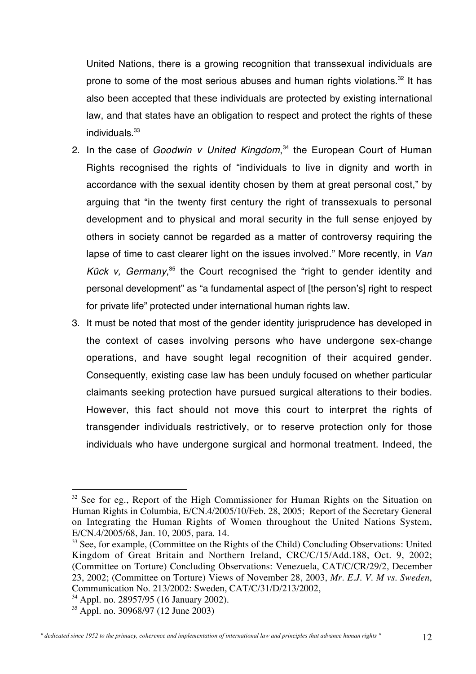United Nations, there is a growing recognition that transsexual individuals are prone to some of the most serious abuses and human rights violations.<sup>32</sup> It has also been accepted that these individuals are protected by existing international law, and that states have an obligation to respect and protect the rights of these individuals. $33$ 

- 2. In the case of Goodwin v United Kingdom,<sup>34</sup> the European Court of Human Rights recognised the rights of "individuals to live in dignity and worth in accordance with the sexual identity chosen by them at great personal cost," by arguing that "in the twenty first century the right of transsexuals to personal development and to physical and moral security in the full sense enjoyed by others in society cannot be regarded as a matter of controversy requiring the lapse of time to cast clearer light on the issues involved." More recently, in Van Kück v, Germany,<sup>35</sup> the Court recognised the "right to gender identity and personal development" as "a fundamental aspect of [the person's] right to respect for private life" protected under international human rights law.
- 3. It must be noted that most of the gender identity jurisprudence has developed in the context of cases involving persons who have undergone sex-change operations, and have sought legal recognition of their acquired gender. Consequently, existing case law has been unduly focused on whether particular claimants seeking protection have pursued surgical alterations to their bodies. However, this fact should not move this court to interpret the rights of transgender individuals restrictively, or to reserve protection only for those individuals who have undergone surgical and hormonal treatment. Indeed, the

<sup>&</sup>lt;sup>32</sup> See for eg., Report of the High Commissioner for Human Rights on the Situation on Human Rights in Columbia, E/CN.4/2005/10/Feb. 28, 2005; Report of the Secretary General on Integrating the Human Rights of Women throughout the United Nations System, E/CN.4/2005/68, Jan. 10, 2005, para. 14.

 $33$  See, for example, (Committee on the Rights of the Child) Concluding Observations: United Kingdom of Great Britain and Northern Ireland, CRC/C/15/Add.188, Oct. 9, 2002; (Committee on Torture) Concluding Observations: Venezuela, CAT/C/CR/29/2, December 23, 2002; (Committee on Torture) Views of November 28, 2003, *Mr. E.J. V. M vs. Sweden*, Communication No. 213/2002: Sweden, CAT/C/31/D/213/2002,

<sup>34</sup> Appl. no. 28957/95 (16 January 2002).

<sup>35</sup> Appl. no. 30968/97 (12 June 2003)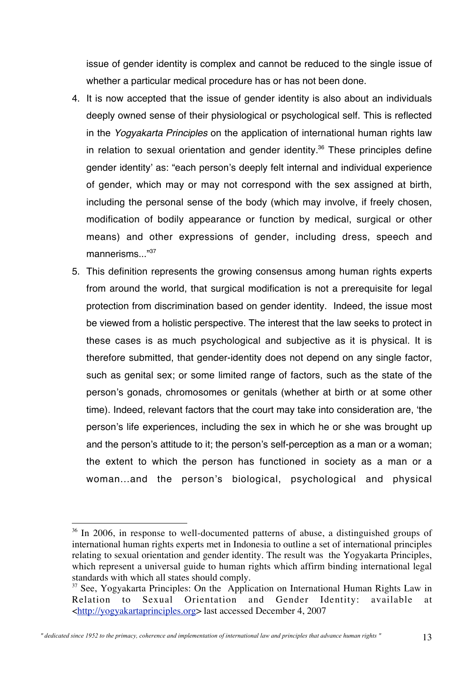issue of gender identity is complex and cannot be reduced to the single issue of whether a particular medical procedure has or has not been done.

- 4. It is now accepted that the issue of gender identity is also about an individuals deeply owned sense of their physiological or psychological self. This is reflected in the Yogyakarta Principles on the application of international human rights law in relation to sexual orientation and gender identity.<sup>36</sup> These principles define gender identity' as: "each person's deeply felt internal and individual experience of gender, which may or may not correspond with the sex assigned at birth, including the personal sense of the body (which may involve, if freely chosen, modification of bodily appearance or function by medical, surgical or other means) and other expressions of gender, including dress, speech and mannerisms  $^{1937}$
- 5. This definition represents the growing consensus among human rights experts from around the world, that surgical modification is not a prerequisite for legal protection from discrimination based on gender identity. Indeed, the issue most be viewed from a holistic perspective. The interest that the law seeks to protect in these cases is as much psychological and subjective as it is physical. It is therefore submitted, that gender-identity does not depend on any single factor, such as genital sex; or some limited range of factors, such as the state of the person's gonads, chromosomes or genitals (whether at birth or at some other time). Indeed, relevant factors that the court may take into consideration are, 'the person's life experiences, including the sex in which he or she was brought up and the person's attitude to it; the person's self-perception as a man or a woman; the extent to which the person has functioned in society as a man or a woman...and the person's biological, psychological and physical

<sup>&</sup>lt;sup>36</sup> In 2006, in response to well-documented patterns of abuse, a distinguished groups of international human rights experts met in Indonesia to outline a set of international principles relating to sexual orientation and gender identity. The result was the Yogyakarta Principles, which represent a universal guide to human rights which affirm binding international legal standards with which all states should comply.

 $37$  See, Yogyakarta Principles: On the Application on International Human Rights Law in Relation to Sexual Orientation and Gender Identity: available at <http://yogyakartaprinciples.org> last accessed December 4, 2007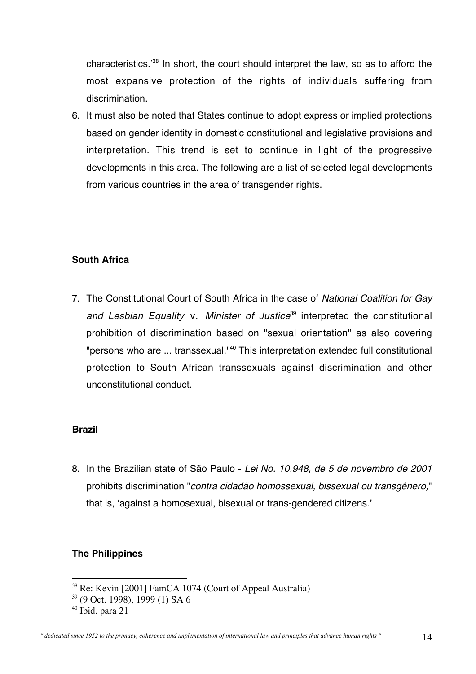characteristics.' <sup>38</sup> In short, the court should interpret the law, so as to afford the most expansive protection of the rights of individuals suffering from discrimination.

6. It must also be noted that States continue to adopt express or implied protections based on gender identity in domestic constitutional and legislative provisions and interpretation. This trend is set to continue in light of the progressive developments in this area. The following are a list of selected legal developments from various countries in the area of transgender rights.

#### **South Africa**

7. The Constitutional Court of South Africa in the case of National Coalition for Gay and Lesbian Equality v. Minister of Justice<sup>39</sup> interpreted the constitutional prohibition of discrimination based on "sexual orientation" as also covering "persons who are ... transsexual."<sup>40</sup> This interpretation extended full constitutional protection to South African transsexuals against discrimination and other unconstitutional conduct.

# **Brazil**

8. In the Brazilian state of São Paulo - Lei No. 10.948, de 5 de novembro de 2001 prohibits discrimination "contra cidadão homossexual, bissexual ou transgênero," that is, 'against a homosexual, bisexual or trans-gendered citizens.'

# **The Philippines**

<sup>&</sup>lt;sup>38</sup> Re: Kevin [2001] FamCA 1074 (Court of Appeal Australia)

<sup>&</sup>lt;sup>39</sup> (9 Oct. 1998), 1999 (1) SA 6

<sup>40</sup> Ibid. para 21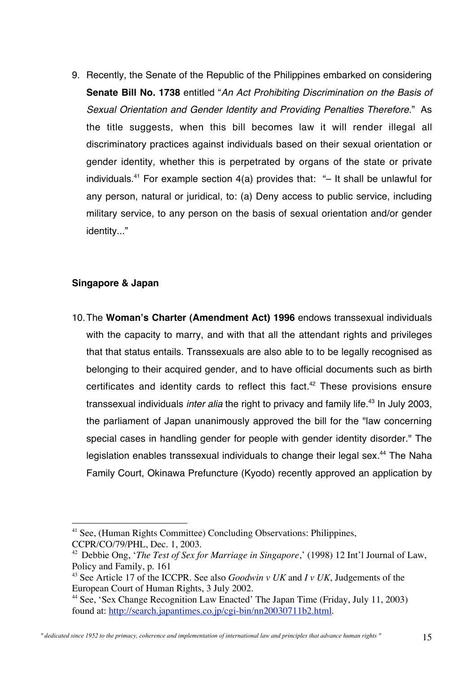9. Recently, the Senate of the Republic of the Philippines embarked on considering **Senate Bill No. 1738** entitled "An Act Prohibiting Discrimination on the Basis of Sexual Orientation and Gender Identity and Providing Penalties Therefore." As the title suggests, when this bill becomes law it will render illegal all discriminatory practices against individuals based on their sexual orientation or gender identity, whether this is perpetrated by organs of the state or private individuals.<sup>41</sup> For example section  $4(a)$  provides that: "- It shall be unlawful for any person, natural or juridical, to: (a) Deny access to public service, including military service, to any person on the basis of sexual orientation and/or gender identity..."

#### **Singapore & Japan**

10.The **Woman's Charter (Amendment Act) 1996** endows transsexual individuals with the capacity to marry, and with that all the attendant rights and privileges that that status entails. Transsexuals are also able to to be legally recognised as belonging to their acquired gender, and to have official documents such as birth certificates and identity cards to reflect this fact. $42$  These provisions ensure transsexual individuals *inter alia* the right to privacy and family life.<sup>43</sup> In July 2003, the parliament of Japan unanimously approved the bill for the "law concerning special cases in handling gender for people with gender identity disorder." The legislation enables transsexual individuals to change their legal sex.<sup>44</sup> The Naha Family Court, Okinawa Prefuncture (Kyodo) recently approved an application by

 <sup>41</sup> See, (Human Rights Committee) Concluding Observations: Philippines, CCPR/CO/79/PHL, Dec. 1, 2003.

<sup>&</sup>lt;sup>42</sup> Debbie Ong, '*The Test of Sex for Marriage in Singapore*,' (1998) 12 Int'l Journal of Law, Policy and Family, p. 161

<sup>43</sup> See Article 17 of the ICCPR. See also *Goodwin v UK* and *I v UK*, Judgements of the European Court of Human Rights, 3 July 2002.

<sup>&</sup>lt;sup>44</sup> See, 'Sex Change Recognition Law Enacted' The Japan Time (Friday, July 11, 2003) found at: http://search.japantimes.co.jp/cgi-bin/nn20030711b2.html.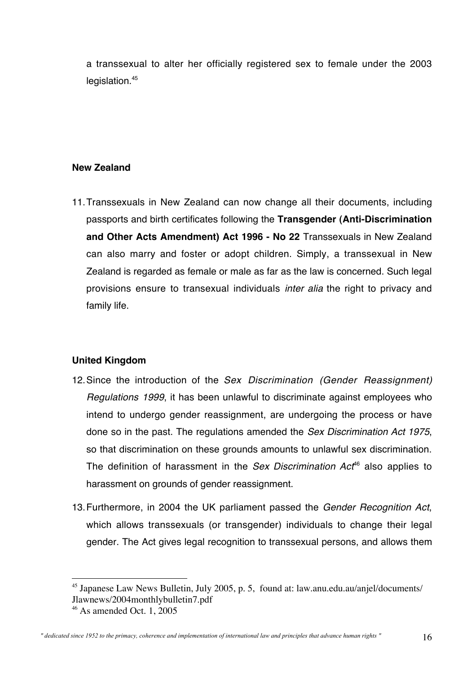a transsexual to alter her officially registered sex to female under the 2003 legislation.<sup>45</sup>

#### **New Zealand**

11.Transsexuals in New Zealand can now change all their documents, including passports and birth certificates following the **Transgender (Anti-Discrimination and Other Acts Amendment) Act 1996 - No 22** Transsexuals in New Zealand can also marry and foster or adopt children. Simply, a transsexual in New Zealand is regarded as female or male as far as the law is concerned. Such legal provisions ensure to transexual individuals inter alia the right to privacy and family life.

#### **United Kingdom**

- 12. Since the introduction of the Sex Discrimination (Gender Reassignment) Regulations 1999, it has been unlawful to discriminate against employees who intend to undergo gender reassignment, are undergoing the process or have done so in the past. The regulations amended the Sex Discrimination Act 1975, so that discrimination on these grounds amounts to unlawful sex discrimination. The definition of harassment in the Sex Discrimination  $Act^{46}$  also applies to harassment on grounds of gender reassignment.
- 13. Furthermore, in 2004 the UK parliament passed the Gender Recognition Act, which allows transsexuals (or transgender) individuals to change their legal gender. The Act gives legal recognition to transsexual persons, and allows them

 <sup>45</sup> Japanese Law News Bulletin, July 2005, p. 5, found at: law.anu.edu.au/anjel/documents/ Jlawnews/2004monthlybulletin7.pdf

<sup>46</sup> As amended Oct. 1, 2005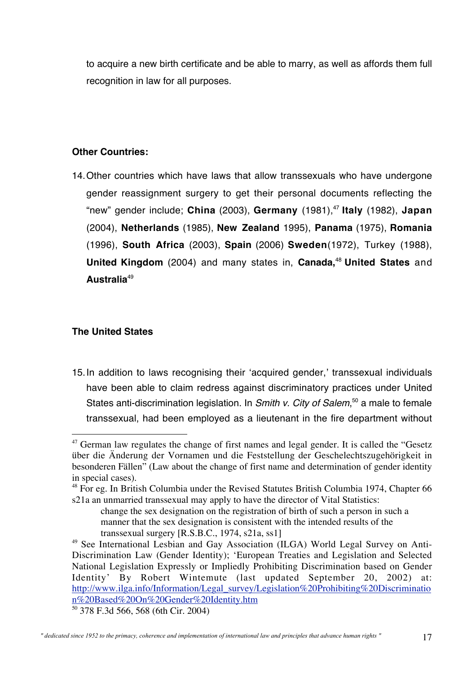to acquire a new birth certificate and be able to marry, as well as affords them full recognition in law for all purposes.

#### **Other Countries:**

14.Other countries which have laws that allow transsexuals who have undergone gender reassignment surgery to get their personal documents reflecting the "new" gender include; **China** (2003), **Germany** (1981),47 **Italy** (1982), **Japan** (2004), **Netherlands** (1985), **New Zealand** 1995), **Panama** (1975), **Romania** (1996), **South Africa** (2003), **Spain** (2006) **Sweden**(1972), Turkey (1988), **United Kingdom** (2004) and many states in, **Canada,**<sup>48</sup> **United States** and **Australia**<sup>49</sup>

### **The United States**

15.In addition to laws recognising their 'acquired gender,' transsexual individuals have been able to claim redress against discriminatory practices under United States anti-discrimination legislation. In Smith v. City of Salem,<sup>50</sup> a male to female transsexual, had been employed as a lieutenant in the fire department without

 $47$  German law regulates the change of first names and legal gender. It is called the "Gesetz" über die Änderung der Vornamen und die Feststellung der Geschelechtszugehörigkeit in besonderen Fällen" (Law about the change of first name and determination of gender identity in special cases).

<sup>&</sup>lt;sup>48</sup> For eg. In British Columbia under the Revised Statutes British Columbia 1974, Chapter 66 s21a an unmarried transsexual may apply to have the director of Vital Statistics:

change the sex designation on the registration of birth of such a person in such a manner that the sex designation is consistent with the intended results of the transsexual surgery [R.S.B.C., 1974, s21a, ss1]

<sup>&</sup>lt;sup>49</sup> See International Lesbian and Gay Association (ILGA) World Legal Survey on Anti-Discrimination Law (Gender Identity); 'European Treaties and Legislation and Selected National Legislation Expressly or Impliedly Prohibiting Discrimination based on Gender Identity' By Robert Wintemute (last updated September 20, 2002) at: http://www.ilga.info/Information/Legal\_survey/Legislation%20Prohibiting%20Discriminatio n%20Based%20On%20Gender%20Identity.htm

<sup>50</sup> 378 F.3d 566, 568 (6th Cir. 2004)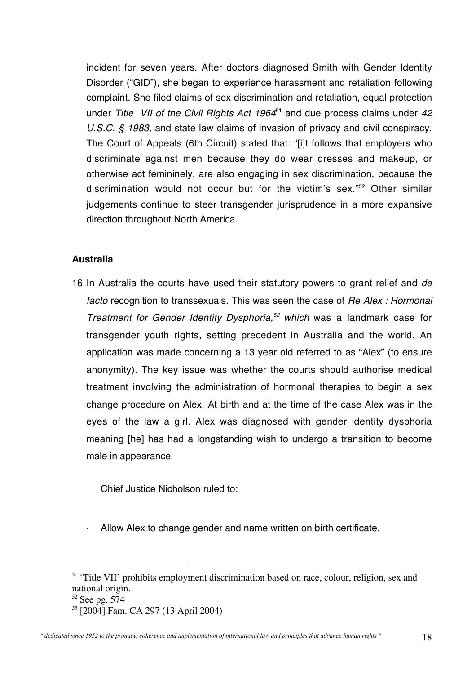incident for seven years. After doctors diagnosed Smith with Gender Identity Disorder ("GID"), she began to experience harassment and retaliation following complaint. She filed claims of sex discrimination and retaliation, equal protection under Title VII of the Civil Rights Act  $1964<sup>51</sup>$  and due process claims under  $42$ U.S.C. § 1983, and state law claims of invasion of privacy and civil conspiracy. The Court of Appeals (6th Circuit) stated that: "[i]t follows that employers who discriminate against men because they do wear dresses and makeup, or otherwise act femininely, are also engaging in sex discrimination, because the discrimination would not occur but for the victim's sex."52 Other similar judgements continue to steer transgender jurisprudence in a more expansive direction throughout North America.

#### **Australia**

16. In Australia the courts have used their statutory powers to grant relief and de facto recognition to transsexuals. This was seen the case of Re Alex: Hormonal Treatment for Gender Identity Dysphoria, $53$  which was a landmark case for transgender youth rights, setting precedent in Australia and the world. An application was made concerning a 13 year old referred to as "Alex" (to ensure anonymity). The key issue was whether the courts should authorise medical treatment involving the administration of hormonal therapies to begin a sex change procedure on Alex. At birth and at the time of the case Alex was in the eyes of the law a girl. Alex was diagnosed with gender identity dysphoria meaning [he] has had a longstanding wish to undergo a transition to become male in appearance.

Chief Justice Nicholson ruled to:

Allow Alex to change gender and name written on birth certificate.

<sup>&</sup>lt;sup>51</sup> 'Title VII' prohibits employment discrimination based on race, colour, religion, sex and national origin.

<sup>&</sup>lt;sup>52</sup> See pg. 574

<sup>53</sup> [2004] Fam. CA 297 (13 April 2004)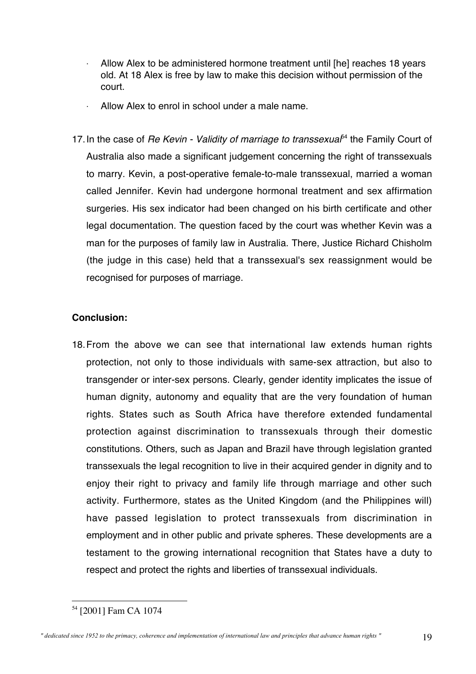- Allow Alex to be administered hormone treatment until [he] reaches 18 years old. At 18 Alex is free by law to make this decision without permission of the court.
- Allow Alex to enrol in school under a male name.
- 17. In the case of Re Kevin Validity of marriage to transsexua $f^4$  the Family Court of Australia also made a significant judgement concerning the right of transsexuals to marry. Kevin, a post-operative female-to-male transsexual, married a woman called Jennifer. Kevin had undergone hormonal treatment and sex affirmation surgeries. His sex indicator had been changed on his birth certificate and other legal documentation. The question faced by the court was whether Kevin was a man for the purposes of family law in Australia. There, Justice Richard Chisholm (the judge in this case) held that a transsexual's sex reassignment would be recognised for purposes of marriage.

# **Conclusion:**

18.From the above we can see that international law extends human rights protection, not only to those individuals with same-sex attraction, but also to transgender or inter-sex persons. Clearly, gender identity implicates the issue of human dignity, autonomy and equality that are the very foundation of human rights. States such as South Africa have therefore extended fundamental protection against discrimination to transsexuals through their domestic constitutions. Others, such as Japan and Brazil have through legislation granted transsexuals the legal recognition to live in their acquired gender in dignity and to enjoy their right to privacy and family life through marriage and other such activity. Furthermore, states as the United Kingdom (and the Philippines will) have passed legislation to protect transsexuals from discrimination in employment and in other public and private spheres. These developments are a testament to the growing international recognition that States have a duty to respect and protect the rights and liberties of transsexual individuals.

 <sup>54</sup> [2001] Fam CA 1074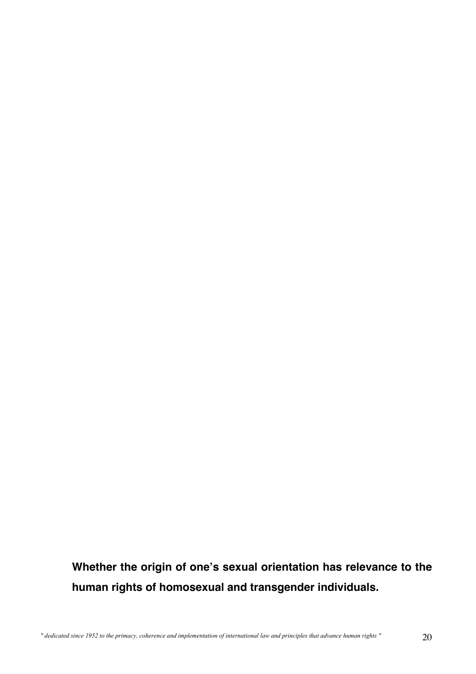**Whether the origin of one's sexual orientation has relevance to the human rights of homosexual and transgender individuals.**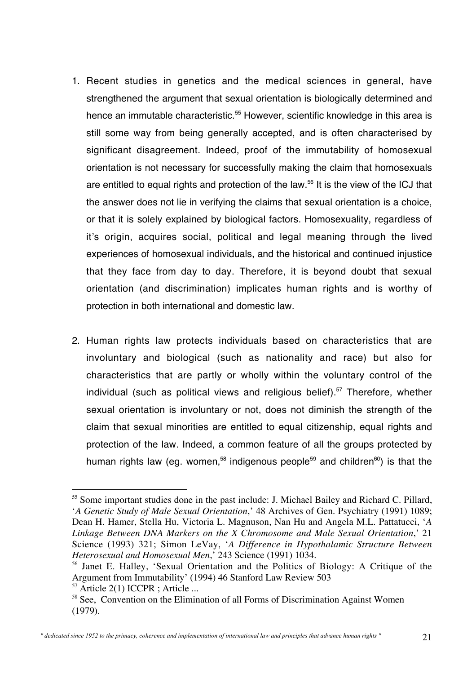- 1. Recent studies in genetics and the medical sciences in general, have strengthened the argument that sexual orientation is biologically determined and hence an immutable characteristic.<sup>55</sup> However, scientific knowledge in this area is still some way from being generally accepted, and is often characterised by significant disagreement. Indeed, proof of the immutability of homosexual orientation is not necessary for successfully making the claim that homosexuals are entitled to equal rights and protection of the law.<sup>56</sup> It is the view of the ICJ that the answer does not lie in verifying the claims that sexual orientation is a choice, or that it is solely explained by biological factors. Homosexuality, regardless of it's origin, acquires social, political and legal meaning through the lived experiences of homosexual individuals, and the historical and continued injustice that they face from day to day. Therefore, it is beyond doubt that sexual orientation (and discrimination) implicates human rights and is worthy of protection in both international and domestic law.
- 2. Human rights law protects individuals based on characteristics that are involuntary and biological (such as nationality and race) but also for characteristics that are partly or wholly within the voluntary control of the individual (such as political views and religious belief).<sup>57</sup> Therefore, whether sexual orientation is involuntary or not, does not diminish the strength of the claim that sexual minorities are entitled to equal citizenship, equal rights and protection of the law. Indeed, a common feature of all the groups protected by human rights law (eg. women,<sup>58</sup> indigenous people<sup>59</sup> and children<sup>60</sup>) is that the

<sup>&</sup>lt;sup>55</sup> Some important studies done in the past include: J. Michael Bailey and Richard C. Pillard, '*A Genetic Study of Male Sexual Orientation*,' 48 Archives of Gen. Psychiatry (1991) 1089; Dean H. Hamer, Stella Hu, Victoria L. Magnuson, Nan Hu and Angela M.L. Pattatucci, '*A Linkage Between DNA Markers on the X Chromosome and Male Sexual Orientation*,' 21 Science (1993) 321; Simon LeVay, '*A Difference in Hypothalamic Structure Between Heterosexual and Homosexual Men*,' 243 Science (1991) 1034.

<sup>56</sup> Janet E. Halley, 'Sexual Orientation and the Politics of Biology: A Critique of the Argument from Immutability' (1994) 46 Stanford Law Review 503

<sup>&</sup>lt;sup>57</sup> Article 2(1) ICCPR ; Article ...

<sup>&</sup>lt;sup>58</sup> See, Convention on the Elimination of all Forms of Discrimination Against Women (1979).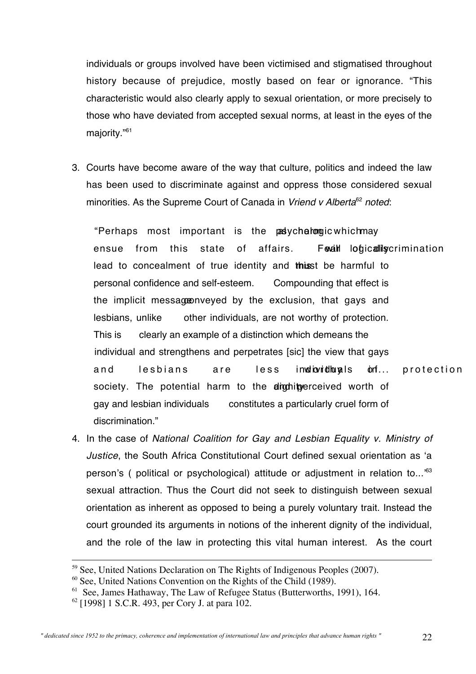individuals or groups involved have been victimised and stigmatised throughout history because of prejudice, mostly based on fear or ignorance. "This characteristic would also clearly apply to sexual orientation, or more precisely to those who have deviated from accepted sexual norms, at least in the eyes of the majority."61

3. Courts have become aware of the way that culture, politics and indeed the law has been used to discriminate against and oppress those considered sexual minorities. As the Supreme Court of Canada in Vriend v Alberta<sup>62</sup> noted:

"Perhaps most important is the pasychalongic which may ensue from this state of affairs. For loticallis extrimination lead to concealment of true identity and this t be harmful to personal confidence and self-esteem. Compounding that effect is the implicit message inveyed by the exclusion, that gays and lesbians, unlike other individuals, are not worthy of protection. This is clearly an example of a distinction which demeans the individual and strengthens and perpetrates [sic] the view that gays and lesbians are less individuals of protection society. The potential harm to the dignit perceived worth of gay and lesbian individuals constitutes a particularly cruel form of discrimination."

4. In the case of National Coalition for Gay and Lesbian Equality v. Ministry of Justice, the South Africa Constitutional Court defined sexual orientation as 'a person's ( political or psychological) attitude or adjustment in relation to...'<sup>63</sup> sexual attraction. Thus the Court did not seek to distinguish between sexual orientation as inherent as opposed to being a purely voluntary trait. Instead the court grounded its arguments in notions of the inherent dignity of the individual, and the role of the law in protecting this vital human interest. As the court

<sup>&</sup>lt;sup>59</sup> See, United Nations Declaration on The Rights of Indigenous Peoples (2007).

 $60$  See, United Nations Convention on the Rights of the Child (1989).

<sup>&</sup>lt;sup>61</sup> See, James Hathaway, The Law of Refugee Status (Butterworths, 1991), 164.

<sup>62</sup> [1998] 1 S.C.R. 493, per Cory J. at para 102.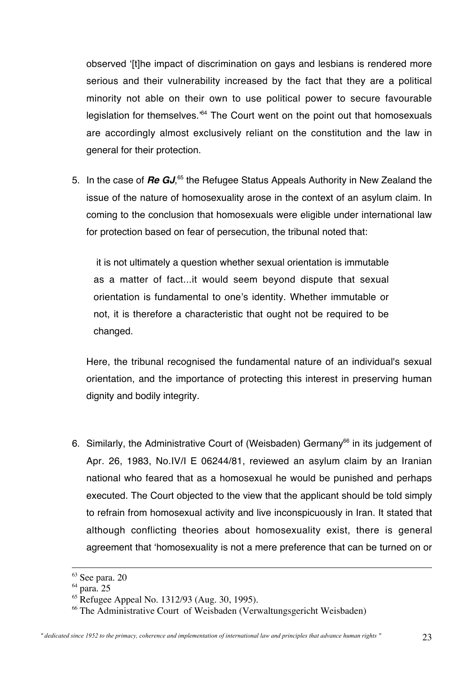observed '[t]he impact of discrimination on gays and lesbians is rendered more serious and their vulnerability increased by the fact that they are a political minority not able on their own to use political power to secure favourable legislation for themselves.<sup>364</sup> The Court went on the point out that homosexuals are accordingly almost exclusively reliant on the constitution and the law in general for their protection.

5. In the case of *Re GJ*,<sup>65</sup> the Refugee Status Appeals Authority in New Zealand the issue of the nature of homosexuality arose in the context of an asylum claim. In coming to the conclusion that homosexuals were eligible under international law for protection based on fear of persecution, the tribunal noted that:

it is not ultimately a question whether sexual orientation is immutable as a matter of fact...it would seem beyond dispute that sexual orientation is fundamental to one's identity. Whether immutable or not, it is therefore a characteristic that ought not be required to be changed.

Here, the tribunal recognised the fundamental nature of an individual's sexual orientation, and the importance of protecting this interest in preserving human dignity and bodily integrity.

6. Similarly, the Administrative Court of (Weisbaden) Germany<sup>66</sup> in its judgement of Apr. 26, 1983, No.IV/I E 06244/81, reviewed an asylum claim by an Iranian national who feared that as a homosexual he would be punished and perhaps executed. The Court objected to the view that the applicant should be told simply to refrain from homosexual activity and live inconspicuously in Iran. It stated that although conflicting theories about homosexuality exist, there is general agreement that 'homosexuality is not a mere preference that can be turned on or

<sup>&</sup>lt;sup>63</sup> See para. 20

<sup>&</sup>lt;sup>64</sup> para. 25

<sup>65</sup> Refugee Appeal No. 1312/93 (Aug. 30, 1995).

<sup>66</sup> The Administrative Court of Weisbaden (Verwaltungsgericht Weisbaden)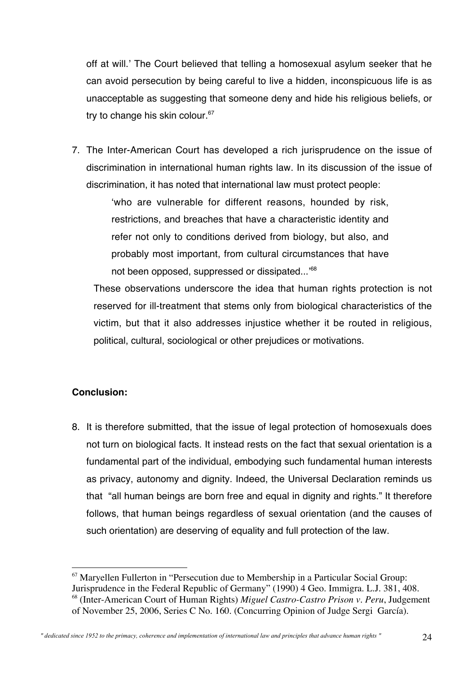off at will.' The Court believed that telling a homosexual asylum seeker that he can avoid persecution by being careful to live a hidden, inconspicuous life is as unacceptable as suggesting that someone deny and hide his religious beliefs, or try to change his skin colour.<sup>67</sup>

7. The Inter-American Court has developed a rich jurisprudence on the issue of discrimination in international human rights law. In its discussion of the issue of discrimination, it has noted that international law must protect people:

> 'who are vulnerable for different reasons, hounded by risk, restrictions, and breaches that have a characteristic identity and refer not only to conditions derived from biology, but also, and probably most important, from cultural circumstances that have not been opposed, suppressed or dissipated...' 68

These observations underscore the idea that human rights protection is not reserved for ill-treatment that stems only from biological characteristics of the victim, but that it also addresses injustice whether it be routed in religious, political, cultural, sociological or other prejudices or motivations.

# **Conclusion:**

8. It is therefore submitted, that the issue of legal protection of homosexuals does not turn on biological facts. It instead rests on the fact that sexual orientation is a fundamental part of the individual, embodying such fundamental human interests as privacy, autonomy and dignity. Indeed, the Universal Declaration reminds us that "all human beings are born free and equal in dignity and rights." It therefore follows, that human beings regardless of sexual orientation (and the causes of such orientation) are deserving of equality and full protection of the law.

 <sup>67</sup> Maryellen Fullerton in "Persecution due to Membership in a Particular Social Group: Jurisprudence in the Federal Republic of Germany" (1990) 4 Geo. Immigra. L.J. 381, 408. 68 (Inter-American Court of Human Rights) *Miguel Castro-Castro Prison v. Peru*, Judgement of November 25, 2006, Series C No. 160. (Concurring Opinion of Judge Sergi García).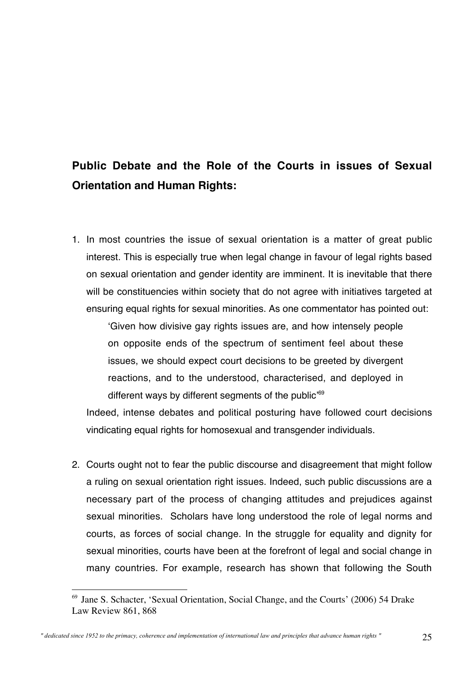# **Public Debate and the Role of the Courts in issues of Sexual Orientation and Human Rights:**

1. In most countries the issue of sexual orientation is a matter of great public interest. This is especially true when legal change in favour of legal rights based on sexual orientation and gender identity are imminent. It is inevitable that there will be constituencies within society that do not agree with initiatives targeted at ensuring equal rights for sexual minorities. As one commentator has pointed out:

'Given how divisive gay rights issues are, and how intensely people on opposite ends of the spectrum of sentiment feel about these issues, we should expect court decisions to be greeted by divergent reactions, and to the understood, characterised, and deployed in different ways by different segments of the public'<sup>69</sup>

Indeed, intense debates and political posturing have followed court decisions vindicating equal rights for homosexual and transgender individuals.

2. Courts ought not to fear the public discourse and disagreement that might follow a ruling on sexual orientation right issues. Indeed, such public discussions are a necessary part of the process of changing attitudes and prejudices against sexual minorities. Scholars have long understood the role of legal norms and courts, as forces of social change. In the struggle for equality and dignity for sexual minorities, courts have been at the forefront of legal and social change in many countries. For example, research has shown that following the South

 <sup>69</sup> Jane S. Schacter, 'Sexual Orientation, Social Change, and the Courts' (2006) 54 Drake Law Review 861, 868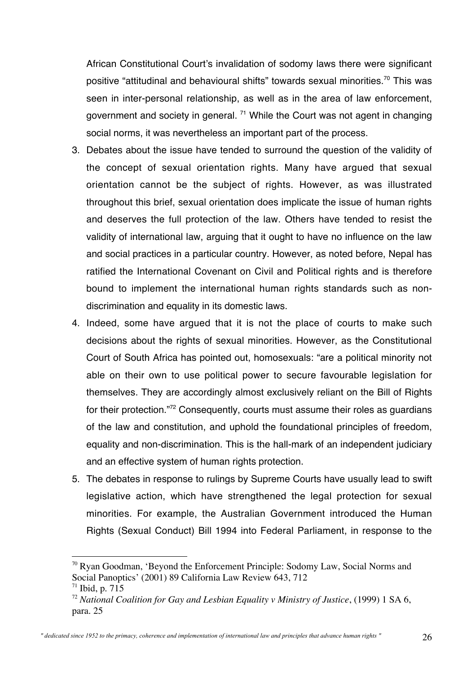African Constitutional Court's invalidation of sodomy laws there were significant positive "attitudinal and behavioural shifts" towards sexual minorities.70 This was seen in inter-personal relationship, as well as in the area of law enforcement, government and society in general.  $71$  While the Court was not agent in changing social norms, it was nevertheless an important part of the process.

- 3. Debates about the issue have tended to surround the question of the validity of the concept of sexual orientation rights. Many have argued that sexual orientation cannot be the subject of rights. However, as was illustrated throughout this brief, sexual orientation does implicate the issue of human rights and deserves the full protection of the law. Others have tended to resist the validity of international law, arguing that it ought to have no influence on the law and social practices in a particular country. However, as noted before, Nepal has ratified the International Covenant on Civil and Political rights and is therefore bound to implement the international human rights standards such as nondiscrimination and equality in its domestic laws.
- 4. Indeed, some have argued that it is not the place of courts to make such decisions about the rights of sexual minorities. However, as the Constitutional Court of South Africa has pointed out, homosexuals: "are a political minority not able on their own to use political power to secure favourable legislation for themselves. They are accordingly almost exclusively reliant on the Bill of Rights for their protection."72 Consequently, courts must assume their roles as guardians of the law and constitution, and uphold the foundational principles of freedom, equality and non-discrimination. This is the hall-mark of an independent judiciary and an effective system of human rights protection.
- 5. The debates in response to rulings by Supreme Courts have usually lead to swift legislative action, which have strengthened the legal protection for sexual minorities. For example, the Australian Government introduced the Human Rights (Sexual Conduct) Bill 1994 into Federal Parliament, in response to the

 <sup>70</sup> Ryan Goodman, 'Beyond the Enforcement Principle: Sodomy Law, Social Norms and Social Panoptics' (2001) 89 California Law Review 643, 712  $71$  Ibid, p. 715

<sup>72</sup> *National Coalition for Gay and Lesbian Equality v Ministry of Justice*, (1999) 1 SA 6, para. 25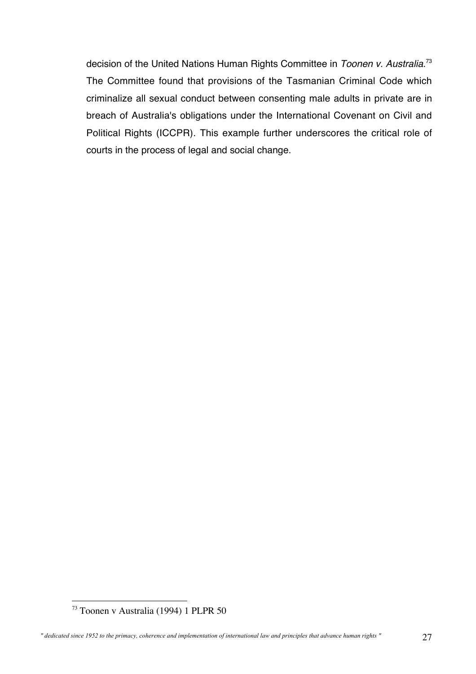decision of the United Nations Human Rights Committee in Toonen v. Australia.<sup>73</sup> The Committee found that provisions of the Tasmanian Criminal Code which criminalize all sexual conduct between consenting male adults in private are in breach of Australia's obligations under the International Covenant on Civil and Political Rights (ICCPR). This example further underscores the critical role of courts in the process of legal and social change.

 <sup>73</sup> Toonen v Australia (1994) 1 PLPR 50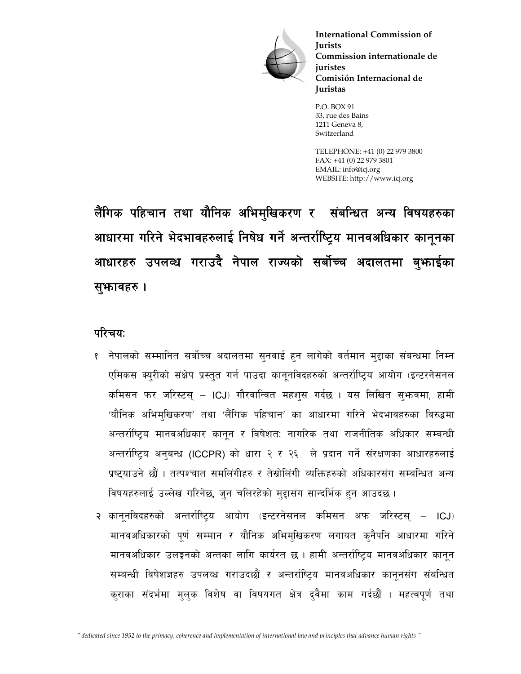

**International Commission of Jurists Commission internationale de juristes Comisión Internacional de Juristas**

P.O. BOX 91 33, rue des Bains 1211 Geneva 8, Switzerland

TELEPHONE: +41 (0) 22 979 3800 FAX: +41 (0) 22 979 3801 EMAIL: info@icj.org WEBSITE: http://www.icj.org

लैंगिक पहिचान तथा यौनिक अभिमुखिकरण र संबन्धित अन्य विषयहरुका आधारमा गरिने भेदभावहरुलाई निषेध गर्ने अन्तर्राष्ट्रिय मानवअधिकार कानूनका आधारहरु उपलव्ध गराउदै नेपाल राज्यको सर्बोच्च अदालतमा बुभ्फाईका सुभावहरु ।

# परिचयः

- <u>१ नेपालको सम्मानित सर्बोच्च अदालतमा सनवाई हुन लागेको वर्तमान मुद्दाका संबन्धमा निम्न</u> एमिकस क्युरीको संक्षेप प्रस्तुत गर्न पाउदा कानुनविदहरुको अन्तर्राष्ट्रिय आयोग (इन्टरनेसनल कमिसन फर जरिस्टस् – ICJ) गौरवान्वित महशुस गर्दछ । यस लिखित सुभन्वमा, हामी 'यौनिक अभिमुखिकरण' तथा 'लैंगिक पहिचान' का आधारमा गरिने भेदभावहरुका विरुद्धमा अन्तर्राष्ट्रिय मानवअधिकार कानून र विषेशत: नागरिक तथा राजनीतिक अधिकार सम्बन्धी अन्तर्राष्ट्रिय अनुबन्ध (ICCPR) को धारा २ र २६ ले प्रदान गर्ने संरक्षणका आधारहरुलाई प्रष्टयाउने छौं । तत्पश्चात समलिंगीहरु र तेस्रोलिंगी व्यक्तिहरुको अधिकारसंग सम्बन्धित अन्य विषयहरुलाई उल्लेख गरिनेछ, जुन चलिरहेको मुद्दासंग सान्दर्भिक हुन आउदछ ।
- २ कानुनविदहरुको अन्तर्राष्ट्रिय आयोग (इन्टरनेसनल कमिसन अफ जरिस्टस् ICJ) मानवअधिकारको पूर्ण सम्मान र यौनिक अभिमुखिकरण लगायत कुनैपनि आधारमा गरिने मानवअधिकार उलङ्गनको अन्तका लागि कार्यरत छ । हामी अन्तर्राष्ट्रिय मानवअधिकार कानून सम्बन्धी विषेशज्ञहरु उपलव्ध गराउदछौं र अन्तर्राष्ट्रिय मानवअधिकार कानूनसंग संबन्धित कराका संदर्भमा मुलुक विशेष वा विषयगत क्षेत्र दुवैमा काम गर्दछौं । महत्वपूर्ण तथा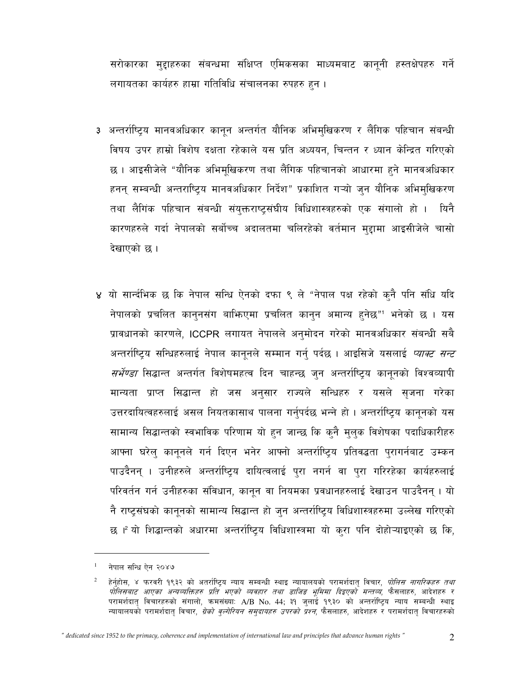सरोकारका मुद्दाहरुका संबन्धमा संक्षिप्त एमिकसका माध्यमबाट कानुनी हस्तक्षेपहरु गर्ने लगायतका कार्यहरु हाम्रा गतिविधि संचालनका रुपहरु हुन ।

- ३ अन्तर्राष्ट्रिय मानवअधिकार कानून अन्तर्गत यौनिक अभिमुखिकरण र लैंगिक पहिचान संबन्धी विषय उपर हाम्रो विशेष दक्षता रहेकाले यस प्रति अध्ययन, चिन्तन र ध्यान केन्द्रित गरिएको छ । आइसीजेले "यौनिक अभिमुखिकरण तथा लैंगिक पहिचानको आधारमा हुने मानवअधिकार हनन् सम्बन्धी अन्तराष्ट्रिय मानवअधिकार निर्देश" प्रकाशित गऱ्यो जुन यौनिक अभिमुखिकरण तथा लैगिक पहिचान संबन्धी संयुक्तराष्ट्संघीय विधिशास्त्रहरुको एक संगालो हो । यिनै कारणहरुले गर्दा नेपालको सर्बोच्च अदालतमा चलिरहेको वर्तमान मुद्दामा आइसीजेले चासो देखाएको छ।
- ४ यो सार्न्दभिक छ कि नेपाल सन्धि ऐनको दफा ९ ले "नेपाल पक्ष रहेको कुनै पनि संधि यदि नेपालको प्रचलित कानुनसंग बाफििएमा प्रचलित कानुन अमान्य हुनेछ" भनेको छ । यस प्रावधानको कारणले, ICCPR लगायत नेपालले अनुमोदन गरेको मानवअधिकार संबन्धी सबै अन्तर्राष्ट्रिय सन्धिहरुलाई नेपाल कानूनले सम्मान गर्न् पर्दछ । आइसिजे यसलाई *प्याक्ट सन्ट सर्भेण्डा* सिद्धान्त अन्तर्गत विशेषमहत्व दिन चाहन्छ ज्**न अन्तर्राष्ट्रिय कानूनको विश्वव्या**पी मान्यता प्राप्त सिद्धान्त हो जस अनुसार राज्यले सन्धिहरु र यसले सृजना गरेका उत्तरदायित्वहरुलाई असल नियतकासाथ पालना गर्नुपर्दछ भन्ने हो । अन्तर्राष्ट्रिय कानूनको यस सामान्य सिद्धान्तको स्वभाविक परिणाम यो हुन जान्छ कि कुनै मुलुक विशेषका पदाधिकारीहरु आफ्ना घरेलु कानुनले गर्न दिएन भनेर आफ्नो अन्तर्राष्ट्रिय प्रतिवद्धता पुरागर्नबाट उम्कन पाउदैनन् । उनीहरुले अन्तर्राष्ट्रिय दायित्वलाई पुरा नगर्न वा पुरा गरिरहेका कार्यहरुलाई परिवर्तन गर्न उनीहरुका संविधान, कानून वा नियमका प्रवधानहरुलाई देखाउन पाउदैनन् । यो नै राष्ट्रसंघको कानूनको सामान्य सिद्धान्त हो जुन अन्तर्राष्ट्रिय विधिशास्त्रहरुमा उल्लेख गरिएको छ । यो शिद्धान्तको अधारमा अन्तर्राष्ट्रिय विधिशास्त्रमा यो कुरा पनि दोहोऱ्याइएको छ कि,

नेपाल सन्धि ऐन २०४७

 $\sqrt{2}$ हेर्नुहोस, ४ फरवरी १९३२ को अतर्राष्ट्रिय न्याय सम्बन्धी स्थाइ न्यायालयको परामर्शदातृ विचार, *पोलिस नागरिकहरु तथा पोलिसबाट आएका अन्यव्यक्तिहरु प्रति भएको व्यवहार तथा डाजिङ भूमिमा दिइएको मन्तव्य,* फैसलाहरु, आदेशहरु र परामर्शदात् विचारहरुको संगालो, कमसंख्या: A/B No. 44; ३१ जुलाई १९३० को अन्तर्राष्ट्रिय न्याय सम्बन्धी स्थाइ न्यायालयको परामर्शदात् विचार, *ग्रेको वृल्गेरियन समुदायहरु उपरको प्रश्न*, फैसलाहरु, आदेशहरु र परामर्शदात् विचारहरुको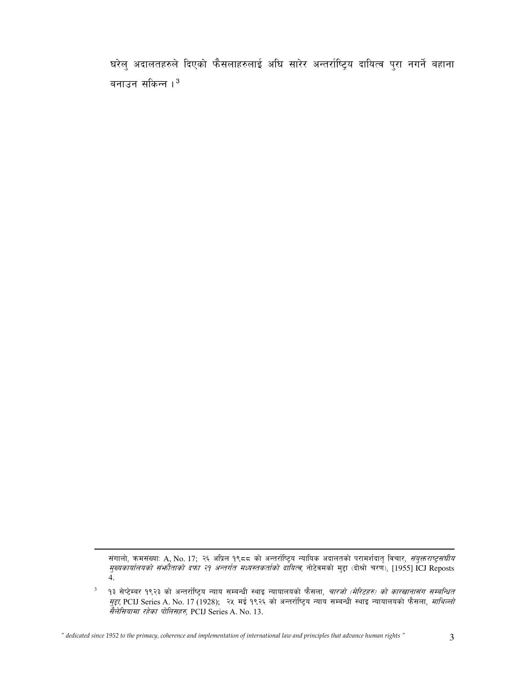घरेलु अदालतहरुले दिएको फैसलाहरुलाई अघि सारेर अन्तर्राष्ट्रिय दायित्व पुरा नगर्ने बहाना बनाउन सकिन्न ।  $^3$ 

l

संगालो, कमसंख्या: A, No. 17; २६ अप्रिल १९८८ को अन्तर्राष्ट्रिय न्यायिक अदालतको परामर्शदातृ विचार, *संयुक्तराष्ट्रसंघीय मुख्यकार्यालयको संभ्रौताको दफा २१ अन्तर्गत मध्यस्तकर्ताको दायित्व*, नोटेवमको मुद्दा (दोश्रो चरण), [1955] ICJ Reposts 4.

 $^3$  । 9३ सेप्टेम्बर १९२३ को अन्तर्राष्ट्रिय न्याय सम्बन्धी स्थाइ न्यायालयको फैसला, *चारजो (मेरिटहरु) को कारखानासंग सम्बन्धित मुद्दा*, PCIJ Series A. No. 17 (1928); २५ मई १९२६ को अन्तर्राष्ट्रिय न्याय सम्बन्धी स्थाइ न्यायालयको फैसला, *माथिल्लो*  $\vec{r}$ लेसियामा रहेका पोलिसहरु, PCIJ Series A. No. 13.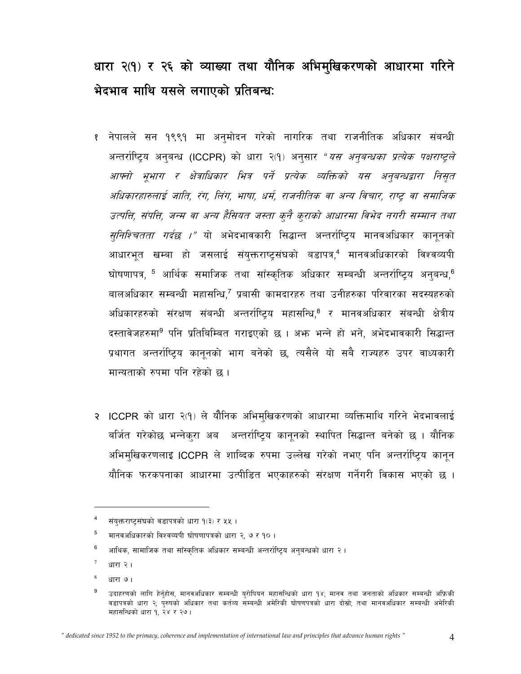# धारा २(१) र २६ को व्याख्या तथा यौनिक अभिमुखिकरणको आधारमा गरिने भेदभाव माथि यसले लगाएको प्रतिबन्धः

- १ नेपालले सन १९९१ मा अनुमोदन गरेको नागरिक तथा राजनीतिक अधिकार संबन्धी अन्तर्राष्ट्रिय अनुबन्ध (ICCPR) को धारा २(१) अनुसार "*यस अनुबन्धका प्रत्येक पक्षराष्ट्रले* आफ्नो भुभाग र क्षेत्राधिकार भित्र पर्ने प्रत्येक व्यक्तिको यस अनुबन्धद्वारा निसृत अधिकारहारुलाई जाति, रंग, लिंग, भाषा, धर्म, राजनीतिक वा अन्य विचार, राष्ट्र वा समाजिक उत्पत्ति, संपत्ति, जन्म वा अन्य हैसियत जस्ता कुनै कुराको आधारमा विभेद नगरी सम्मान तथा *सुनिश्चितता गर्दछ ।"* यो अभेदभावकारी सिद्धान्त अन्तर्राष्ट्रिय मानवअधिकार कानूनको आधारभूत खम्बा हो जसलाई संयुक्तराष्ट्रसंघको बडापत्र,<sup>4</sup> मानवअधिकारको विश्वव्यपी घोषणापत्र, <sup>5</sup> आर्थिक समाजिक तथा साँस्कृतिक अधिकार सम्बन्धी अन्तर्राष्ट्रिय अनुबन्ध,<sup>6</sup> बालअधिकार सम्बन्धी महासन्धि,<sup>7</sup> प्रबासी कामदारहरु तथा उनीहरुका परिवारका सदस्यहरुको अधिकारहरुको संरक्षण संबन्धी अन्तर्राष्ट्रिय महासन्धि,<sup>8</sup> र मानवअधिकार संबन्धी क्षेत्रीय दस्तावेजहरुमा<sup>9</sup> पनि प्रतिबिम्बित गराइएको छ । अभ्रु भन्ने हो भने, अभेदभावकारी सिद्धान्त प्रथागत अन्तर्राष्ट्रिय कानूनको भाग बनेको छ, त्यसैले यो सबै राज्यहरु उपर वाध्यकारी मान्यताको रुपमा पनि रहेको छ।
- २ ICCPR को धारा २(१) ले यौनिक अभिमुखिकरणको आधारमा व्यक्तिमाथि गरिने भेदभावलाई बर्जित गरेकोछ भन्नेकुरा अब अन्तर्राष्टिय कानुनको स्थापित सिद्धान्त बनेको छ । यौनिक अभिमुखिकरणलाइ ICCPR ले शाब्दिक रुपमा उल्लेख गरेको नभए पनि अन्तर्राष्टिय कानुन यौनिक फरकपनाका आधारमा उत्पीडित भएकाहरुको संरक्षण गर्नेगरी विकास भएको छ ।

 $\overline{\mathbf{4}}$ संयुक्तराष्ट्रसंघको वडापत्रको धारा १(३) र ५५ ।

<sup>5</sup> मानवअधिकारको विश्वव्यपी घोषणापत्रको धारा २, ७ र १० ।

<sup>6</sup> आथिक, सामाजिक तथा साँस्कृतिक अधिकार सम्बन्धी अन्तर्राष्ट्रिय अनुबन्धको धारा २।

 $\overline{7}$ धारा २ ।

 $\,$  8  $\,$ धारा ७।

<sup>9</sup> उदाहरणको लागि हेर्नुहोस, मानवअधिकार सम्बन्धी युरोपियन महासन्धिको धारा १४; मानव तथा जनताको अधिकार सम्बन्धी अफ्रिकी वडापत्रको धारा २; पुरुषको अधिकार तथा कर्तव्य सम्बन्धी अमेरिकी घोषणपत्रको धारा दोस्रो; तथा मानवअधिकार सम्बन्धी अमेरिकी महासन्धिको धारा १, २४ र २७।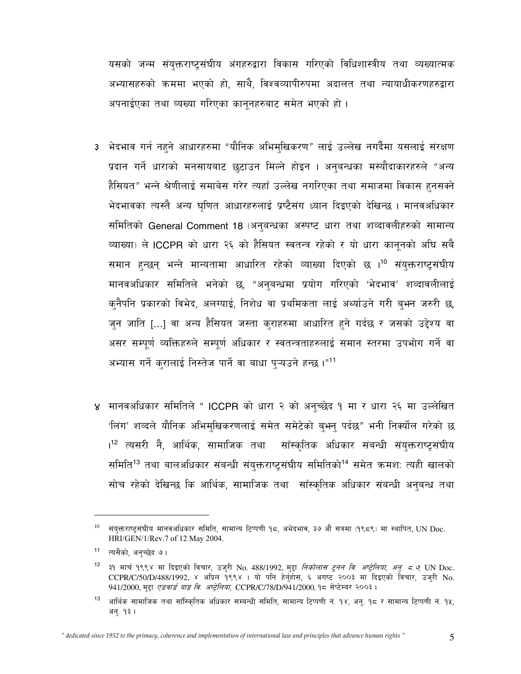यसको जन्म संयुक्तराष्ट्संघीय अंगहरुद्वारा विकास गरिएको विधिशास्त्रीय तथा व्यख्यात्मक अभ्यासहरुको क्रममा भएको हो, साथै, विश्वव्यापीरुपमा अदालत तथा न्यायाधीकरणहरुद्वारा अपनाईएका तथा व्यख्या गरिएका कानुनहरुबाट समेत भएको हो।

- 3 भेदभाव गर्न नहने आधारहरुमा "यौनिक अभिमुखिकरण" लाई उल्लेख नगर्दैमा यसलाई संरक्षण प्रदान गर्ने धाराको मनसायबाट छुटाउन मिल्ने होइन । अनुबन्धका मस्यौदाकारहरुले "अन्य हैसियत" भन्ने श्रेणीलाई समाबेस गरेर त्यहाँ उल्लेख नगरिएका तथा समाजमा विकास हनसक्ने भेदभावका त्यस्तै अन्य घृणित आधारहरुलाई प्रष्टैसंग ध्यान दिइएको देखिन्छ । मानवअधिकार समितिको General Comment 18 (अनुबन्धका अस्पष्ट धारा तथा शव्दावलीहरुको सामान्य व्याख्या) ले ICCPR को धारा २६ को हैसियत स्वतन्त्र रहेको र यो धारा कानुनको अघि सबै समान हुन्छन् भन्ने मान्यतामा आधारित रहेको व्याख्या दिएको छ ।<sup>10</sup> संयुक्तराष्ट्रसंघीय मानवअधिकार समितिले भनेको छ, "अनुबन्धमा प्रयोग गरिएको 'भेदभाव' शव्दावलीलाई क्नैपनि प्रकारको विभेद, अलग्याई, निशेध वा प्रथमिकता लाई अर्थ्याउने गरी ब्भन जरुरी छ, जुन जाति [...] वा अन्य हैसियत जस्ता कुराहरुमा आधारित हुने गर्दछ र जसको उद्देश्य वा असर सम्पूर्ण व्यक्तिहरुले सम्पूर्ण अधिकार र स्वतन्त्रताहरुलाई समान स्तरमा उपभोग गर्ने वा अभ्यास गर्ने करालाई निस्तेज पार्ने वा बाधा प्ऱ्यउने हन्छ।"11
- ४ मानवअधिकार समितिले " ICCPR को धारा २ को अनुच्छेद १ मा र धारा २६ मा उल्लेखित 'लिंग' शव्दले यौनिक अभिमुखिकरणलाई समेत समेटेको बुभन् पर्दछ" भनी निक्योल गरेको छ ।<sup>12</sup> त्यसरी नै, आर्थिक, सामाजिक तथा साँस्कृतिक अधिकार संबन्धी संयुक्तराष्ट्रसंघीय समिति<sup>13</sup> तथा बालअधिकार संबन्धी संयुक्तराष्ट्संघीय समितिको<sup>14</sup> समेत क्रमश: त्यही खालको सोच रहेको देखिन्छ कि आर्थिक, सामाजिक तथा साँस्कृतिक अधिकार संबन्धी अनुबन्ध तथा

 $10\,$ संयुक्तराष्ट्रसंघीय मानवअधिकार समिति, सामान्य टिप्पणी १८, अभेदभाव, ३७ औं सत्रमा (१९८९) मा स्थापित, UN Doc. HRI/GEN/1/Rev.7 of 12 May 2004.

 $11$ त्यसैको, अनुच्छेद ७।

 $12$ ३१ मार्च १९९४ मा दिइएको विचार, उजुरी No. 488/1992, मुद्दा *निकोलास टुनन वि. अष्ट्रेलिया, अनु. ८.७,* UN Doc.<br>CCPR/C/50/D/488/1992, ४ अप्रिल १९९४ । यो पनि हेर्नुहोस, ६ अगष्ट २००३ मा दिइएको विचार, उजुरी No. 941/2000, मद्दा एडबार्ड याङ वि. अष्टेलिया, CCPR/C/78/D/941/2000, १८ सेप्टेम्बर २००३।

 $13\,$ आर्थिक सामाजिक तथा साँस्कितिक अधिकार सम्बन्धी समिति, सामान्य टिप्पणी नं. १४, अन्. १८ र सामान्य टिप्पणी नं. १५, अनु. १३ ।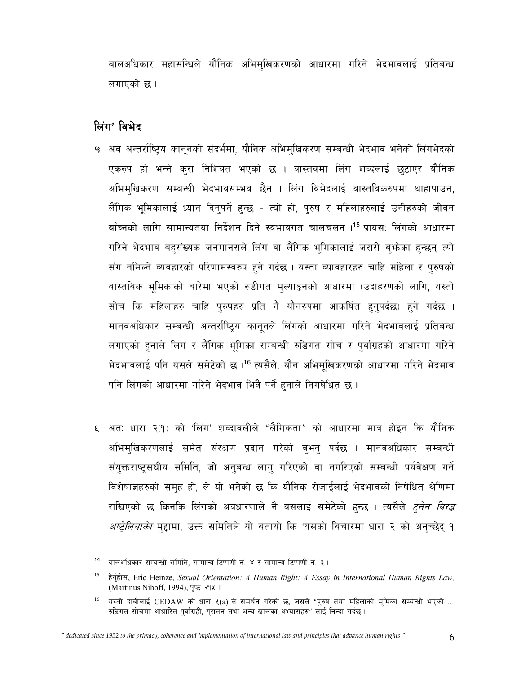बालअधिकार महासन्धिले यौनिक अभिमुखिकरणको आधारमा गरिने भेदभावलाई प्रतिबन्ध लगाएको छ ।

# लिंग' विभेद

- ५ अव अन्तर्राष्ट्रिय कानूनको संदर्भमा, यौनिक अभिमुखिकरण सम्बन्धी भेदभाव भनेको लिंगभेदको एकरुप हो भन्ने कुरा निश्चित भएको छ । वास्तवमा लिंग शब्दलाई छुटाएर यौनिक अभिमुखिकरण सम्बन्धी भेदभावसम्भव छैन । लिंग विभेदलाई वास्तविकरुपमा थाहापाउन, लैंगिक भूमिकालाई ध्यान दिन्पर्ने हुन्छ - त्यो हो, पुरुष र महिलाहरुलाई उनीहरुको जीवन बाँच्नको लागि सामान्यतया निर्देशन दिने स्वभावगत चालचलन ।<sup>15</sup> प्रायस: लिंगको आधारमा गरिने भेदभाव बहसंख्यक जनमानसले लिंग वा लैंगिक भूमिकालाई जसरी बुभ्रेका हुन्छन् त्यो संग नमिल्ने व्यवहारको परिणामस्वरुप हुने गर्दछ। यस्ता व्यावहारहरु चाहिं महिला र पुरुषको वास्तविक भूमिकाको बारेमा भएको रुडीगत मुल्याङ्कनको आधारमा (उदाहरणको लागि, यस्तो सोच कि महिलाहरु चाहिं पुरुषहरु प्रति नै यौनरुपमा आकर्षित हुनुपर्दछ) हुने गर्दछ । मानवअधिकार सम्बन्धी अन्तर्राष्ट्रिय कानुनले लिंगको आधारमा गरिने भेदभावलाई प्रतिबन्ध लगाएको हनाले लिंग र लैंगिक भूमिका सम्बन्धी रुडिगत सोच र पुर्वाग्रहको आधारमा गरिने भेदभावलाई पनि यसले समेटेको छ ।<sup>16</sup> त्यसैले, यौन अभिमुखिकरणको आधारमा गरिने भेदभाव पनि लिंगको आधारमा गरिने भेदभाव भित्रै पर्ने हनाले निगषेधित छ ।
- ६ अत: धारा २(१) को 'लिंग' शव्दावलीले "लैगिकता" को आधारमा मात्र होइन कि यौनिक अभिमुखिकरणलाई समेत संरक्षण प्रदान गरेको बुभन् पर्दछ । मानवअधिकार सम्बन्धी संयुक्तराष्ट्संघीय समिति, जो अनुबन्ध लाग् गरिएको वा नगरिएको सम्बन्धी पर्यवेक्षण गर्ने विशेषाज्ञहरुको समुह हो, ले यो भनेको छ कि यौनिक रोजाईलाई भेदभावको निषेधित श्रेणिमा राखिएको छ किनकि लिंगको अवधारणाले नै यसलाई समेटेको हुन्छ । त्यसैले *ट्नेन विरद्ध अष्ट्रेलियाको* मुद्दामा, उक्त समितिले यो बतायो कि 'यसको बिचारमा धारा २ को अन्च्छेद् १

<sup>&</sup>lt;sup>14</sup> बालअधिकार सम्बन्धी समिति, सामान्य टिप्पणी नं. ४ र सामान्य टिप्पणी नं. ३ ।

<sup>15</sup> हेर्नुहोस, Eric Heinze, Sexual Orientation: A Human Right: A Essay in International Human Rights Law, (Martinus Nihoff, 1994), पष्ठ २१५ ।

 $16\,$ यस्तो दावीलाई CEDAW को धारा ५(a) ले समर्थन गरेको छ, जसले "परुष तथा महिलाको भूमिका सम्बन्धी भएको ... रुडिगत सोचमा आधारित पुर्वाग्रही, पुरातन तथा अन्य खालका अभ्यासहरु" लाई निन्दा गर्दछ।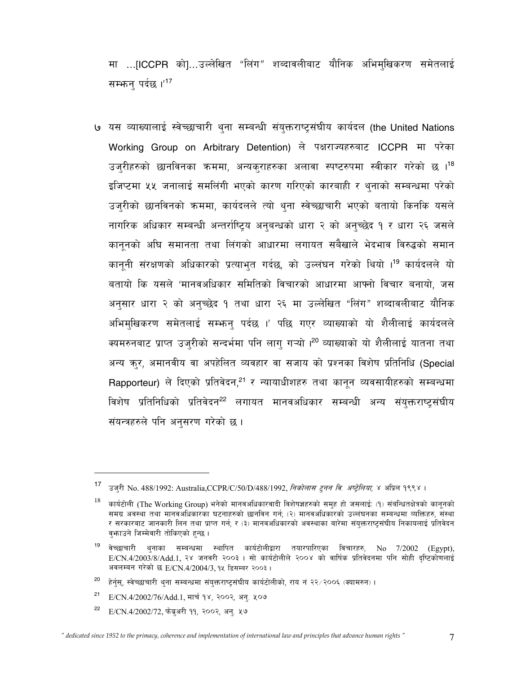मा ...[ICCPR को]...उल्लेखित "लिंग" शब्दावलीबाट यौनिक अभिम्खिकरण समेतलाई सम्भान पर्दछ।'<sup>17</sup>

७ यस व्याख्यालाई स्वेच्छाचारी थना सम्बन्धी संयक्तराष्टसंघीय कार्यदल (the United Nations Working Group on Arbitrary Detention) ले पक्षराज्यहरुबाट ICCPR मा परेका उज्रीहरुको छानविनका क्रममा, अन्यक्राहरुका अलावा स्पष्टरुपमा स्वीकार गरेको छ ।<sup>18</sup> इजिप्टमा ५५ जनालाई समलिंगी भएको कारण गरिएको कारबाही र थुनाको सम्बन्धमा परेको उज्रीको छानविनको क्रममा, कार्यदलले त्यो थुना स्वेच्छाचारी भएको बतायो किनकि यसले नागरिक अधिकार सम्बन्धी अन्तर्राष्ट्रिय अनुबन्धको धारा २ को अनुच्छेद १ र धारा २६ जसले काननको अघि समानता तथा लिंगको आधारमा लगायत सबैखाले भेदभाव विरुद्धको समान कानूनी संरक्षणको अधिकारको प्रत्याभुत गर्दछ, को उल्लंघन गरेको थियो ।<sup>19</sup> कार्यदलले यो बतायो कि यसले 'मानवअधिकार समितिको विचारको आधारमा आफ्नो विचार बनायो, जस अनुसार धारा २ को अनुच्छेद १ तथा धारा २६ मा उल्लेखित "लिंग" शब्दावलीबाट यौनिक अभिमुखिकरण समेतलाई सम्भन्न पर्दछ ।' पछि गएर व्याख्याको यो शैलीलाई कार्यदलले क्यमरुनबाट प्राप्त उजुरीको सन्दर्भमा पनि लागु गऱ्यो ।<sup>20</sup> व्याख्याको यो शैलीलाई यातना तथा अन्य कुर, अमानवीय वा अपहेलित व्यवहार वा सजाय को प्रश्नका विशेष प्रतिनिधि (Special Rapporteur) ले दिएको प्रतिवेदन,<sup>21</sup> र न्यायाधीशहरु तथा कानन व्यवसायीहरुको सम्बन्धमा विशेष प्रतिनिधिको प्रतिवेदन<sup>22</sup> लगायत मानवअधिकार सम्बन्धी अन्य संयुक्तराष्ट्रसंघीय संयन्त्रहरुले पनि अनुसरण गरेको छ।

- 20 हेर्नस, स्वेच्छाचारी थुना सम्बन्धमा संयुक्तराष्ट्रसंघीय कार्यटोलीको, राय नं २२/२००६ (क्यामरुन)।
- $21$ E/CN.4/2002/76/Add.1, मार्च १४, २००२, अन्. ५०७
- 22 E/CN.4/2002/72, फेब्रुअरी ११, २००२, अनु. ५७

उज्री No. 488/1992: Australia, CCPR/C/50/D/488/1992, निकोलास ट्नन वि. अप्ट्रेलिया, ४ अप्रिल १९९४।

<sup>18</sup> कार्यटोली (The Working Group) भनेको मानवअधिकारवादी विशेषज्ञहरुको समुह हो जसलाई: (१) संबन्धितक्षेत्रको कानुनको समग्र अवस्था तथा मानवअधिकारका घटनाहरुको छानविन गर्न; (२) मानवअधिकारको उल्लंघनका सम्बन्धमा व्यक्तिहरु, संस्था र सरकारबाट जानकारी लिन तथा प्राप्त गर्न; र (३) मानवअधिकारको अवस्थाका बारेमा संयुक्तराष्ट्रसंघीय निकायलाई प्रतिवेदन वफ़ाउने जिम्मेवारी तोकिएको हुन्छ।

 $19$ वेच्छाचारी थनाका सम्बन्धमा स्थापित कार्यटोलीद्वारा तयारपारिएका विचारहरु, No 7/2002 (Egypt), E/CN.4/2003/8/Add.1, २४ जनवरी २००३ । सो कार्यटोलीले २००४ को वार्षिक प्रतिवेदनमा पनि सोही दृष्टिकोणलाई अवलम्बन गरेको छ E/CN.4/2004/3, १५ डिसम्बर २००३।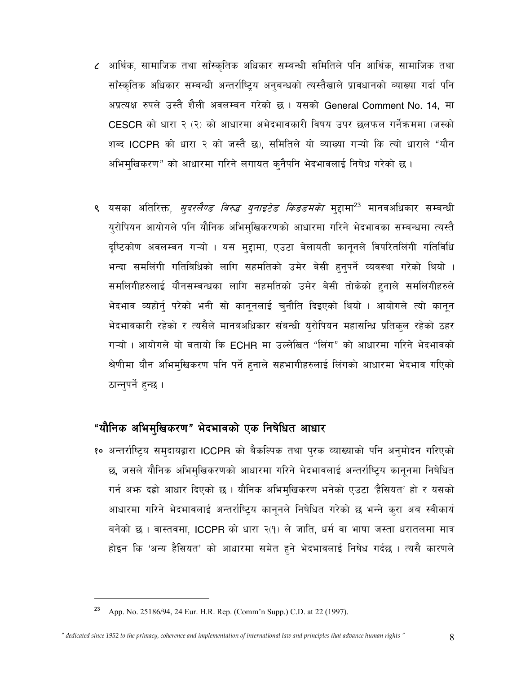- ८ आर्थिक, सामाजिक तथा साँस्कृतिक अधिकार सम्बन्धी समितिले पनि आर्थिक, सामाजिक तथा साँस्कृतिक अधिकार सम्बन्धी अन्तर्राष्ट्रिय अनुबन्धको त्यस्तैखाले प्रावधानको व्याख्या गर्दा पनि अप्रत्यक्ष रुपले उस्तै शैली अवलम्बन गरेको छ। यसको General Comment No. 14, मा CESCR को धारा २ (२) को आधारमा अभेदभावकारी विषय उपर छलफल गर्नेक्रममा (जस्को शब्द ICCPR को धारा २ को जस्तै छ), समितिले यो व्याख्या गऱ्यो कि त्यो धाराले "यौन अभिमुखिकरण" को आधारमा गरिने लगायत कुनैपनि भेदभावलाई निषेध गरेको छ।
- ९ यसका अतिरिक्त, *सुदरलैण्ड विरुद्ध युनाइटेड किङडमको* मुद्दामा<sup>23</sup> मानवअधिकार सम्बन्धी युरोपियन आयोगले पनि यौनिक अभिमुखिकरणको आधारमा गरिने भेदभावका सम्बन्धमा त्यस्तै दृष्टिकोण अवलम्बन गऱ्यो । यस मुद्दामा, एउटा बेलायती कानूनले विपरितलिंगी गतिविधि भन्दा समलिंगी गतिविधिको लागि सहमतिको उमेर बेसी हुनुपर्ने व्यवस्था गरेको थियो । समलिंगीहरुलाई यौनसम्बन्धका लागि सहमतिको उमेर बेसी तोकेको हुनाले समलिंगीहरुले भेदभाव व्यहोर्न् परेको भनी सो कानूनलाई चुनौति दिइएको थियो । आयोगले त्यो कानून भेदभावकारी रहेको र त्यसैले मानवअधिकार संबन्धी युरोपियन महासन्धि प्रतिकुल रहेको ठहर गऱ्यो । आयोगले यो बतायो कि ECHR मा उल्लेखित "लिंग" को आधारमा गरिने भेदभावको श्रेणीमा यौन अभिमुखिकरण पनि पर्ने हुनाले सहभागीहरुलाई लिंगको आधारमा भेदभाव गएिको ठान्नुपर्ने हुन्छ ।

# "यौनिक अभिमुखिकरण" भेदभावको एक निषेधित आधार

१० अन्तर्राष्ट्रिय समुदायद्वारा ICCPR को बैकल्पिक तथा पुरक व्याख्याको पनि अनुमोदन गरिएको छ, जसले यौनिक अभिमुखिकरणको आधारमा गरिने भेदभावलाई अन्तर्राष्ट्रिय कानूनमा निषेधित गर्न अफ्न दह्रो आधार दिएको छ । यौनिक अभिमुखिकरण भनेको एउटा 'हैसियत' हो र यसको आधारमा गरिने भेदभावलाई अन्तर्राष्ट्रिय कानूनले निषेधित गरेको छ भन्ने कुरा अब स्वीकार्य बनेको छ । वास्तवमा, ICCPR को धारा २(१) ले जाति, धर्म वा भाषा जस्ता धरातलमा मात्र होइन कि 'अन्य हैसियत' को आधारमा समेत हुने भेदभावलाई निषेध गर्दछ । त्यसै कारणले

App. No. 25186/94, 24 Eur. H.R. Rep. (Comm'n Supp.) C.D. at 22 (1997).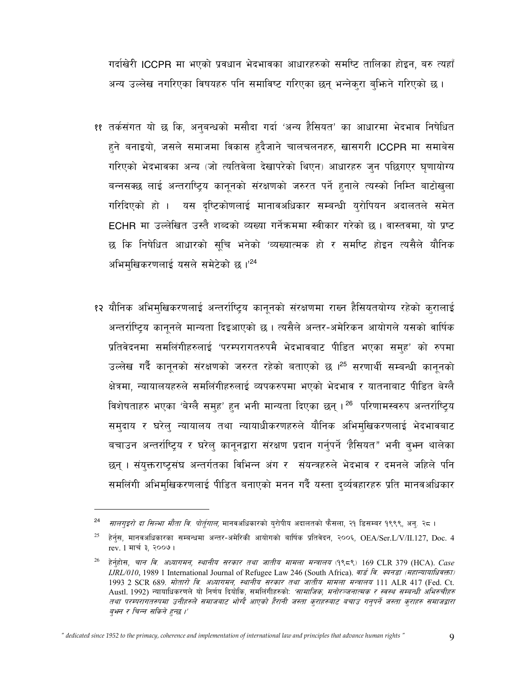गर्दाखेरी ICCPR मा भएको प्रवधान भेदभावका आधारहरुको समष्टि तालिका होइन, बरु त्यहाँ अन्य उल्लेख नगरिएका विषयहरु पनि समाविष्ट गरिएका छन् भन्नेक्रा बुभिने गरिएको छ।

- ११ तर्कसंगत यो छ कि, अनुबन्धको मसौदा गर्दा 'अन्य हैसियत' का आधारमा भेदभाव निषेधित हने बनाइयो, जसले समाजमा विकास हदैजाने चालचलनहरु, खासगरी ICCPR मा समाबेस गरिएको भेदभावका अन्य (जो त्यतिवेला देखापरेको थिएन) आधारहरु जुन पछिगएर घुणायोग्य बन्नसक्छ लाई अन्तराष्ट्रिय कानूनको संरक्षणको जरुरत पर्ने हुनाले त्यस्को निम्ति बाटोखुला गरिदिएको हो । यस दृष्टिकोणलाई मानावअधिकार सम्बन्धी युरोपियन अदालतले समेत ECHR मा उल्लेखित उस्तै शब्दको व्यख्या गर्नेकममा स्वीकार गरेको छ। वास्तवमा, यो प्रष्ट छ कि निषेधित आधारको सुचि भनेको 'व्यख्यात्मक हो र समष्टि होइन त्यसैले यौनिक अभिमुखिकरणलाई यसले समेटेको छ।'24
- १२ यौनिक अभिमुखिकरणलाई अन्तर्राष्ट्रिय कानूनको संरक्षणमा राख्न हैसियतयोग्य रहेको कुरालाई अन्तर्राष्टिय कानूनले मान्यता दिइआएको छ। त्यसैले अन्तर-अमेरिकन आयोगले यसको वार्षिक प्रतिवेदनमा समलिंगीहरुलाई 'परम्परागतरुपमै भेदभावबाट पीडित भएका समुह' को रुपमा उल्लेख गर्दै कानूनको संरक्षणको जरुरत रहेको बताएको छ ।<sup>25</sup> सरणार्थी सम्बन्धी कानूनको क्षेत्रमा, न्यायालयहरुले समलिंगीहरुलाई व्यपकरुपमा भएको भेदभाव र यातनाबाट पीडित बेग्लै विशेषताहरु भएका 'बेग्लै सम्**ह' हुन भनी मान्यता दिएका छन्** । <sup>26</sup> परिणामस्वरुप अन्तर्राष्टिय समुदाय र घरेलु न्यायालय तथा न्यायाधीकरणहरुले यौनिक अभिमुखिकरणलाई भेदभावबाट बचाउन अन्तर्राष्ट्रिय र घरेल् कानुनद्वारा संरक्षण प्रदान गर्नुपर्ने 'हैसियत" भनी वृभन थालेका छन् । संयुक्तराष्ट्रसंघ अन्तर्गतका विभिन्न अंग र संयन्त्रहरुले भेदभाव र दमनले जहिले पनि समलिंगी अभिमुखिकरणलाई पीडित बनाएको मनन गर्दै यस्ता दर्व्यवहारहरु प्रति मानवअधिकार

*सालगुइरो दा सिल्भा मौता वि. पोर्तूगाल,* मानवअधिकारको युरोपीय अदालतको फैसला, २१ डिसम्बर १९९९, अनु. २८ ।

<sup>25</sup> हेर्नुस, मानवअधिकारका सम्बन्धमा अन्तर-अमेरिकी आयोगको बार्षिक प्रतिवेदन, २००६, OEA/Ser.L/V/II.127, Doc. 4 rev. 1 मार्च ३, २००७।

<sup>26</sup> हेर्नुहोस, *चान वि. अध्यागमन, स्थानीय सरकार तथा जातीय मामला मन्त्रालय* (१९८९) 169 CLR 379 (HCA). Case IJRL/010, 1989 1 International Journal of Refugee Law 246 (South Africa). वार्ड वि. स्यनडा (महान्यायाधिवक्ता) 1993 2 SCR 689. मोतारो वि. अध्यागमन, स्थानीय सरकार तथा जातीय मामला मन्त्रालय 111 ALR 417 (Fed. Ct. Austl. 1992) न्यायाधिकरणले यो निर्णय दियोकि, समलिंगीहरुकोः *'सामाजिक, मनोरञ्जनात्मक र स्वस्थ सम्बन्धी अभिरुचीहरु* तथा परम्परागतरुपमा उनीहरुले समाजवाट भोग्दै आएको हैरानी जस्ता कुराहरुवाट बचाउ गनुपर्ने जस्ता कुराहरु समाजद्वारा बुभन र चिन्न सकिने हुन्छ ।'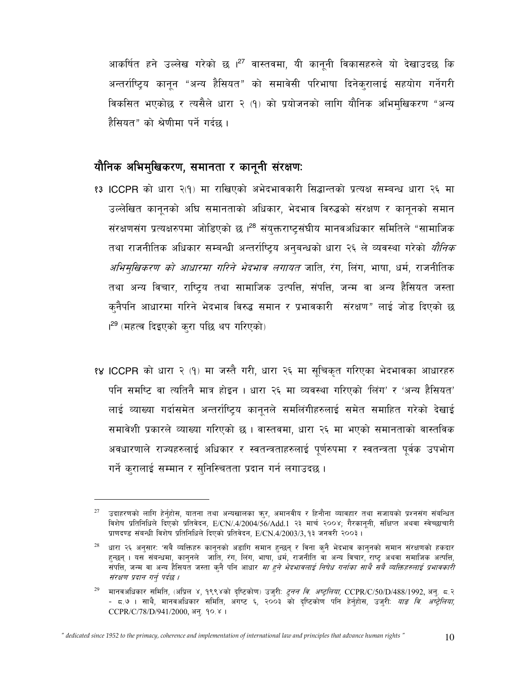आकर्षित हने उल्लेख गरेको छ ।<sup>27</sup> वास्तवमा, यी कानूनी विकासहरुले यो देखाउदछ कि अन्तर्राष्ट्रिय कानून "अन्य हैसियत" को समावेसी परिभाषा दिनेक्रालाई सहयोग गर्नेगरी विकसित भएकोछ र त्यसैले धारा २ (१) को प्रयोजनको लागि यौनिक अभिमुखिकरण "अन्य हैसियत" को श्रेणीमा पर्ने गर्दछ ।

# यौनिक अभिमुखिकरण, समानता र कानूनी संरक्षणः

- <u>१३ ICCPR को धारा २(१) मा राखिएको अभेदभावकारी सिद्धान्तको प्रत्यक्ष सम्बन्ध धारा २६ मा</u> उल्लेखित काननको अघि समानताको अधिकार, भेदभाव विरुद्धको संरक्षण र कानूनको समान संरक्षणसंग प्रत्यक्षरुपमा जोडिएको छ ।<sup>28</sup> संयुक्तराष्ट्रसंघीय मानवअधिकार समितिले "सामाजिक तथा राजनीतिक अधिकार सम्बन्धी अन्तर्राष्ट्रिय अनुबन्धको धारा २६ ले व्यवस्था गरेको *यौनिक अभिमुखिकरण को आधारमा गरिने भेदभाव लगायत* जाति, रंग, लिंग, भाषा, धर्म, राजनीतिक तथा अन्य विचार, राष्ट्रिय तथा सामाजिक उत्पत्ति, संपत्ति, जन्म वा अन्य हैसियत जस्ता क्नैपनि आधारमा गरिने भेदभाव विरुद्ध समान र प्रभावकारी संरक्षण" लाई जोड दिएको छ <sup>29</sup> (महत्व दिइएको करा पछि थप गरिएको)
- १४ ICCPR को धारा २ (१) मा जस्तै गरी, धारा २६ मा सूचिकृत गरिएका भेदभावका आधारहरु पनि समष्टि वा त्यतिनै मात्र होइन । धारा २६ मा व्यवस्था गरिएको 'लिंग' र 'अन्य हैसियत' लाई व्याख्या गर्दासमेत अन्तर्राष्ट्रिय कानुनले समलिंगीहरुलाई समेत समाहित गरेको देखाई समावेशी प्रकारले व्याख्या गरिएको छ । वास्तवमा, धारा २६ मा भएको समानताको वास्तविक अवधारणाले राज्यहरुलाई अधिकार र स्वतन्त्रताहरुलाई पूर्णरुपमा र स्वतन्त्रता पूर्वक उपभोग गर्ने करालाई सम्मान र सुनिस्चितता प्रदान गर्न लगाउदछ ।

<sup>27</sup> उदाहरणको लागि हेर्नुहोस, यातना तथा अन्यखालका ऋर, अमानवीय र हिनौना व्यावहार तथा सजायको प्रश्नसंग संबन्धित विशेष प्रतिनिधिले दिएको प्रतिवेदन, E/CN/.4/2004/56/Add.1 २३ मार्च २००४; गैरकानूनी, संक्षिप्त अथवा स्वेच्छाचारी प्राणदण्ड संबन्धी विशेष प्रतिनिधिले दिएको प्रतिवेदन, E/CN.4/2003/3, १३ जनवरी २००३।

 $28\,$ धारा २६ अनुसार: 'सबै व्यक्तिहरु कानुनको अडागि समान हुन्छन् र विना कुनै भेदभाव कानुनको समान संरक्षणको हकदार हुन्छन् । यस संबन्धमा, कानुनले जाति, रंग, लिंग, भाषा, धर्म, राजनीति वा अन्य विचार, राष्ट्र अथवा समाजिक अत्पत्ति, संपत्ति, जन्म वा अन्य हैसियत जस्ता क्नै पनि आधार *मा हुने भेदभावलाई निषेध गर्नाका साथै सबै व्यक्तिहरुलाई प्रभावकारी* संरक्षण प्रदान गर्न पर्दछ ।

<sup>29</sup> मानवअधिकार समिति, (अप्रिल ४, १९९४को दृष्टिकोण) उजुरी: *टुनन वि. अष्ट्रलिया,* CCPR/C/50/D/488/1992, अनु. <mark>८</mark>.२<br>- ८.७ । साथै, मानवअधिकार समिति, अगष्ट ६, २००३ को दृष्टिकोण पनि हेर्नुहोस, उजुरी: *याङ वि. अष्ट्र* CCPR/C/78/D/941/2000, अन्. १०.४ ।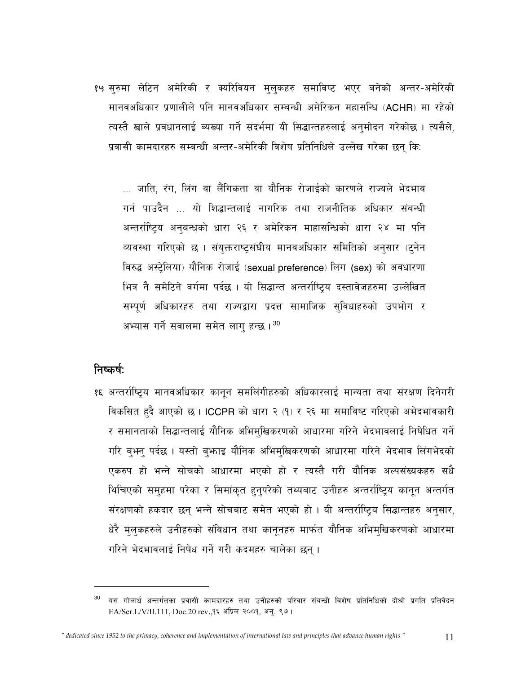१५ सुरुमा लेटिन अमेरिकी र क्यरिवियन मुलुकहरु समाविष्ट भएर बनेको अन्तर-अमेरिकी मानवअधिकार प्रणालीले पनि मानवअधिकार सम्बन्धी अमेरिकन महासन्धि (ACHR) मा रहेको त्यस्तै खाले प्रवधानलाई ब्यख्या गर्ने संदर्भमा यी सिद्धान्तहरुलाई अनुमोदन गरेकोछ । त्यसैले, प्रवासी कामदारहरु सम्बन्धी अन्तर-अमेरिकी विशेष प्रतिनिधिले उल्लेख गरेका छन कि:

... जाति, रंग, लिंग वा लैंगिकता वा यौनिक रोजाईको कारणले राज्यले भेदभाव गर्न पाउदैन ... यो शिद्धान्तलाई नागरिक तथा राजनीतिक अधिकार संबन्धी अन्तर्राष्ट्रिय अनुबन्धको धारा २६ र अमेरिकन माहासन्धिको धारा २४ मा पनि व्यवस्था गरिएको छ । संयुक्तराष्ट्रसंघीय मानवअधिकार समितिको अनुसार (टुनेन विरुद्ध अस्ट्रेलिया) यौनिक रोजाई (sexual preference) लिंग (sex) को अवधारणा भित्र नै समेटिने वर्गमा पर्दछ । यो सिद्धान्त अन्तर्राष्ट्रिय दस्तावेजहरुमा उल्लेखित सम्पूर्ण अधिकारहरु तथा राज्यद्वारा प्रदत्त सामाजिक सुविधाहरुको उपभोग र अभ्यास गर्ने सवालमा समेत लाग हन्छ। 30

#### निष्कर्ष:

१६ अन्तर्राष्ट्रिय मानवअधिकार कानून समलिंगीहरुको अधिकारलाई मान्यता तथा संरक्षण दिनेगरी विकसित हुदै आएको छ। ICCPR को धारा २ (१) र २६ मा समाविष्ट गरिएको अभेदभावकारी र समानताको सिद्धान्तलाई यौनिक अभिमुखिकरणको आधारमा गरिने भेदभावलाई निषेधित गर्ने गरि बुभन् पर्दछ । यस्तो बुभ्राइ यौनिक अभिमुखिकरणको आधारमा गरिने भेदभाव लिंगभेदको एकरुप हो भन्ने सोचको आधारमा भएको हो र त्यस्तै गरी यौनिक अल्पसंख्यकहरु सधै थिचिएको समुहमा परेका र सिमांकृत हुनुपरेको तथ्यबाट उनीहरु अन्तर्राष्ट्रिय कानून अन्तर्गत संरक्षणको हकदार छन् भन्ने सोचबाट समेत भएको हो। यी अन्तर्राष्ट्रिय सिद्धान्तहरु अनुसार, धेरै मुलुकहरुले उनीहरुको संविधान तथा कानुनहरु मार्फत यौनिक अभिमुखिकरणको आधारमा गरिने भेदभावलाई निषेध गर्ने गरी कदमहरु चालेका छन्।

यस गोलार्ध अन्तर्गतका प्रवासी कामदारहरु तथा उनीहरुको परिवार संबन्धी विशेष प्रतिनिधिको दोश्रो प्रगति प्रतिवेदन EA/Ser.L/V/II.111, Doc.20 rev.,१६ अप्रिल २००१, अनु. ९७।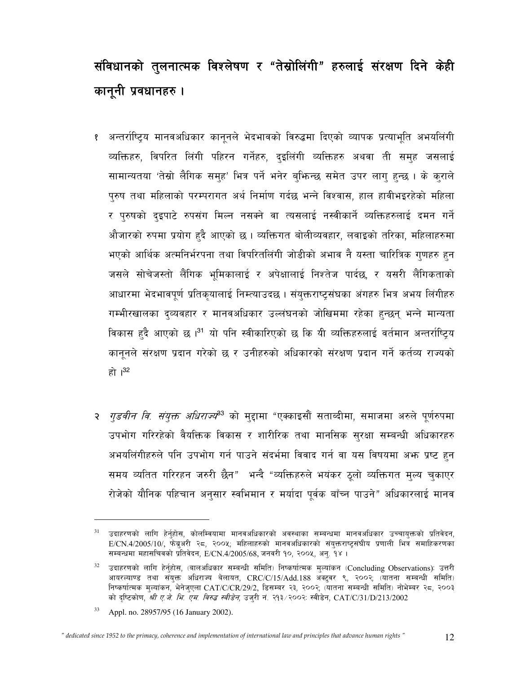# संविधानको तुलनात्मक विश्लेषण र "तेस्रोलिंगी" हरुलाई संरक्षण दिने केही कानूनी प्रवधानहरु ।

- १ अन्तर्राष्ट्रिय मानवअधिकार कानूनले भेदभावको विरुद्धमा दिएको व्यापक प्रत्याभूति अभयलिंगी व्यक्तिहरु, विपरित लिंगी पहिरन गर्नेहरु, दइलिंगी व्यक्तिहरु अथवा ती समह जसलाई सामान्यतया 'तेस्रो लैगिक समुह' भित्र पर्ने भनेर बुभिन्छ समेत उपर लागु हुन्छ । के कुराले पुरुष तथा महिलाको परम्परागत अर्थ निर्माण गर्दछ भन्ने विश्वास, हाल हावीभइरहेको महिला र पुरुषको दृइपाटे रुपसंग मिल्न नसक्ने वा त्यसलाई नस्वीकार्ने व्यक्तिहरुलाई दमन गर्ने औजारको रुपमा प्रयोग हुदै आएको छ । व्यक्तिगत बोलीव्यवहार, लवाइको तरिका, महिलाहरुमा भएको आर्थिक अत्मनिर्भरपना तथा विपरितलिंगी जोडीको अभाव नै यस्ता चारित्रिक गुणहरु हुन जसले सोचेजस्तो लैंगिक भूमिकालाई र अपेक्षालाई निश्तेज पार्दछ, र यसरी लैंगिकताको आधारमा भेदभावपूर्ण प्रतिकृयालाई निम्त्याउदछ । संयुक्तराष्ट्रसंघका अंगहरु भित्र अभय लिंगीहरु गम्भीरखालका द्व्यवहार र मानवअधिकार उल्लंघनको जोखिममा रहेका हुन्छन् भन्ने मान्यता विकास हुदै आएको छ ।<sup>31</sup> यो पनि स्वीकारिएको छ कि यी व्यक्तिहरुलाई वर्तमान अन्तर्राष्टिय कानूनले संरक्षण प्रदान गरेको छ र उनीहरुको अधिकारको संरक्षण प्रदान गर्ने कर्तव्य राज्यको हो। $32$
- २ *गुडवीन वि. संयुक्त अधिराज्य*<sup>33</sup> को मुद्दामा "एक्काइसौं सताब्दीमा, समाजमा अरुले पूर्णरुपमा उपभोग गरिरहेको वैयक्तिक विकास र शारीरिक तथा मानसिक सरक्षा सम्बन्धी अधिकारहरु अभयलिंगीहरुले पनि उपभोग गर्न पाउने संदर्भमा विवाद गर्न वा यस विषयमा अफ्न प्रष्ट हुन समय व्यतित गरिरहन जरुरी छैन" भन्दै "व्यक्तिहरुले भयंकर ठुलो व्यक्तिगत मुल्य चुकाएर रोजेको यौनिक पहिचान अनुसार स्वभिमान र मर्यादा पूर्वक बाँच्न पाउने" अधिकारलाई मानव

 $31$ उदाहरणको लागि हेर्नुहोस, कोलम्वियामा मानवअधिकारको अवस्थाका सम्बन्धमा मानवअधिकार उच्चायुक्तको प्रतिवेदन, E/CN.4/2005/10/, फेब्रुअरी २८, २००५; महिलाहरुको मानवअधिकारको संयुक्तराष्ट्रसंघीय प्रणाली भित्र समाहिकरणका सम्बन्धमा महासचिवको प्रतिवेदन, E/CN.4/2005/68, जनवरी १०, २००५, अनु. १४ ।

<sup>32</sup> उदाहरणको लागि हेर्नुहोस, (बालअधिकार सम्बन्धी समिति) निष्कर्षात्मक मुल्यांकन (Concluding Observations): उत्तरी आयरल्याण्ड तथा संयुक्त अधिराज्य बेलायत, CRC/C/15/Add.188 अक्टूबर ९, २००२; (यातना सम्बन्धी समिति) निष्कर्षात्मक मुल्यांकन, भेनेजुएला CAT/C/CR/29/2, डिसम्बर २३, २००२; (यातना सम्बन्धी समिति) नोभेम्बर २८, २००३ को दृष्टिकोण, *श्री ए.जे. भि. एम. विरुद्ध स्वीडेन*, उज्**री नं. २**१३/२००२: स्वीडेन, CAT/C/31/D/213/2002

<sup>33</sup> Appl. no. 28957/95 (16 January 2002).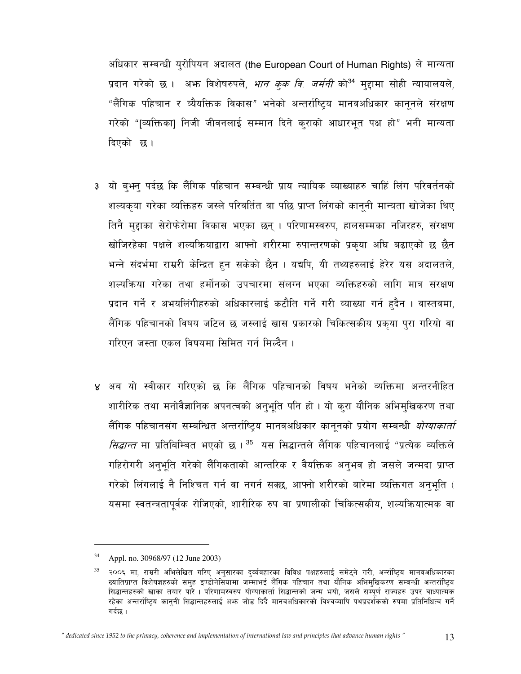अधिकार सम्बन्धी युरोपियन अदालत (the European Court of Human Rights) ले मान्यता प्रदान गरेको छ । अभ्र विशेषरुपले, *भान कुक वि. जर्मनी* को<sup>34</sup> मुद्दामा सोही न्यायालयले, "लैंगिक पहिचान र व्यैयक्तिक विकास" भनेको अन्तर्राष्टिय मानवअधिकार काननले संरक्षण गरेको "[व्यक्तिका] निजी जीवनलाई सम्मान दिने क्राको आधारभूत पक्ष हो" भनी मान्यता दिएको छ।

- 3 यो बुभन् पर्दछ कि लैंगिक पहिचान सम्बन्धी प्राय न्यायिक व्याख्याहरु चाहिं लिंग परिवर्तनको शल्यकृया गरेका व्यक्तिहरु जस्ले परिवर्तित वा पछि प्राप्त लिंगको कानूनी मान्यता खोजेका थिए तिनै मुद्दाका सेरोफेरोमा विकास भएका छन् । परिणामस्वरुप, हालसम्मका नजिरहरु, संरक्षण खोजिरहेका पक्षले शल्यक्रियाद्वारा आफ्नो शरीरमा रुपान्तरणको प्रकुया अघि बढाएको छ छैन भन्ने संदर्भमा राम्ररी केन्द्रित हुन सकेको छैन । यद्यपि, यी तथ्यहरुलाई हेरेर यस अदालतले, शल्यक्रिया गरेका तथा हर्मोनको उपचारमा संलग्न भएका व्यक्तिहरुको लागि मात्र संरक्षण प्रदान गर्ने र अभयलिंगीहरुको अधिकारलाई कटौति गर्ने गरी व्याख्या गर्न हुदैन । वास्तवमा, लैंगिक पहिचानको विषय जटिल छ जस्लाई खास प्रकारको चिकित्सकीय प्रकृया पुरा गरियो वा गरिएन जस्ता एकल विषयमा सिमित गर्न मिल्दैन ।
- ४ अब यो स्वीकार गरिएको छ कि लैंगिक पहिचानको विषय भनेको व्यक्तिमा अन्तरनीहित शारीरिक तथा मनोवैज्ञानिक अपनत्वको अनुभूति पनि हो । यो कुरा यौनिक अभिमुखिकरण तथा लैंगिक पहिचानसंग सम्बन्धित अन्तर्राष्ट्रिय मानवअधिकार कानुनको प्रयोग सम्बन्धी *योग्याकार्ता सिद्धान्त* मा प्रतिबिम्बित भएको छ । <sup>35</sup> यस सिद्धान्तले लैंगिक पहिचानलाई "प्रत्येक व्यक्तिले गहिरोगरी अनुभूति गरेको लैंगिकताको आन्तरिक र वैयक्तिक अनुभव हो जसले जन्मदा प्राप्त गरेको लिंगलाई नै निश्चित गर्न वा नगर्न सक्छ, आफ्नो शरीरको बारेमा व्यक्तिगत अनुभूति ( यसमा स्वतन्त्रतापूर्वक रोजिएको, शारीरिक रुप वा प्रणालीको चिकित्सकीय, शल्यक्रियात्मक वा

Appl. no. 30968/97 (12 June 2003)

२००६ मा, राम्ररी अभिलेखित गरिए अनसारका दर्व्यवहारका विविध पक्षहरुलाई समेटने गरी, अर्न्साप्टिय मानवअधिकारका ख्यातिप्राप्त विशेषज्ञहरुको समह इण्डोनेसियामा जम्माभई लैंगिक पहिचान तथा यौनिक अभिमखिकरण सम्बन्धी अन्तर्राष्टिय सिद्धान्तहरुको खाका तयार पारे । परिणामस्वरुप योग्याकार्ता सिद्धान्तको जन्म भयो, जसले सम्पूर्ण राज्यहरु उपर वाध्यात्मक रहेका अन्तर्राष्टिय काननी सिद्धान्तहरुलाई अभ्रु जोड दिदै मानवअधिकारको विश्वव्यापि पथप्रदर्शकको रुपमा प्रतिनिधित्व गर्ने गर्दछ ।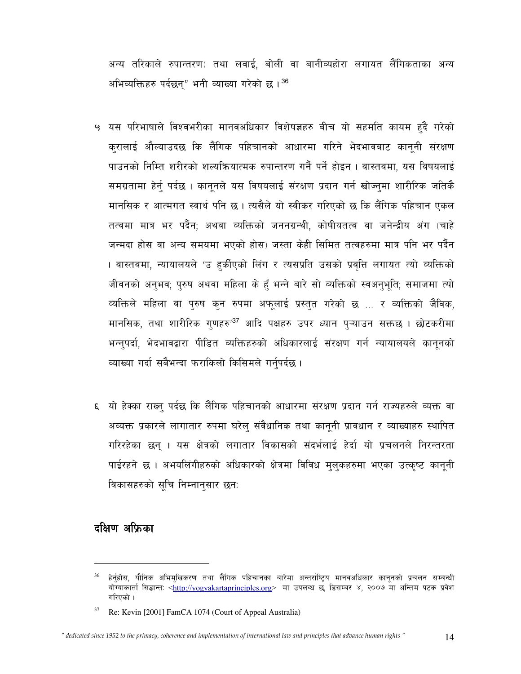अन्य तरिकाले रुपान्तरण) तथा लवाई, बोली वा बानीव्यहोरा लगायत लैंगिकताका अन्य अभिव्यक्तिहरु पर्दछन्" भनी व्याख्या गरेको छ।<sup>36</sup>

- ५ यस परिभाषाले विश्वभरीका मानवअधिकार विशेषज्ञहरु बीच यो सहमति कायम हुदै गरेको करालाई औल्याउदछ कि लैंगिक पहिचानको आधारमा गरिने भेदभावबाट कानुनी संरक्षण पाउनको निम्ति शरीरको शल्यक्रियात्मक रुपान्तरण गर्नै पर्ने होइन । वास्तवमा, यस विषयलाई समग्रतामा हेर्न् पर्दछ । कानूनले यस विषयलाई संरक्षण प्रदान गर्न खोज्नुमा शारीरिक जतिकै मानसिक र आत्मगत स्वार्थ पनि छ। त्यसैले यो स्वीकर गरिएको छ कि लैंगिक पहिचान एकल तत्वमा मात्र भर पर्दैन: अथवा व्यक्तिको जननग्रन्थी. कोषीयतत्व वा जनेन्द्रीय अंग (चाहे जन्मदा होस वा अन्य समयमा भएको होस) जस्ता केही सिमित तत्वहरुमा मात्र पनि भर पर्दैन । वास्तवमा, न्यायालयले 'उ हर्कीएको लिंग र त्यसप्रति उसको प्रवृत्ति लगायत त्यो व्यक्तिको जीवनको अनुभव; पुरुष अथवा महिला के हुँ भन्ने बारे सो व्यक्तिको स्वअनुभूति; समाजमा त्यो व्यक्तिले महिला वा पुरुष कुन रुपमा अफूलाई प्रस्तुत गरेको छ ... र व्यक्तिको जैविक, मानसिक, तथा शारीरिक गुणहरु'<sup>37</sup> आदि पक्षहरु उपर ध्यान प्**ऱ्याउन सक्तछ । छोटकरीमा** भन्नुपर्दा, भेदभावद्वारा पीडित व्यक्तिहरुको अधिकारलाई संरक्षण गर्न न्यायालयले कानुनको व्याख्या गर्दा सबैभन्दा फराकिलो किसिमले गर्नुपर्दछ ।
- ६) यो हेक्का राख्नु पर्दछ कि लैंगिक पहिचानको आधारमा संरक्षण प्रदान गर्न राज्यहरुले व्यक्त वा अव्यक्त प्रकारले लागातार रुपमा घरेलु संवैधानिक तथा कानुनी प्रावधान र व्याख्याहरु स्थापित गरिरहेका छन । यस क्षेत्रको लगातार विकासको संदर्भलाई हेर्दा यो प्रचलनले निरन्तरता पाईरहने छ। अभयलिंगीहरुको अधिकारको क्षेत्रमा विविध मुलुकहरुमा भएका उत्कृष्ट कानूनी विकासहरुको सचि निम्नानसार छन:

# दक्षिण अफ्रिका

हेर्नुहोस, यौनिक अभिमुखिकरण तथा लैंगिक पहिचानका बारेमा अन्तर्राष्ट्रिय मानवअधिकार कानुनको प्रचलन सम्बन्धी योग्याकार्ता सिद्धान्तः <http://yogyakartaprinciples.org> मा उपलब्ध छ, डिसम्बर ४, २००७ मा अन्तिम पटक प्रवेश गरिएको ।

Re: Kevin [2001] FamCA 1074 (Court of Appeal Australia)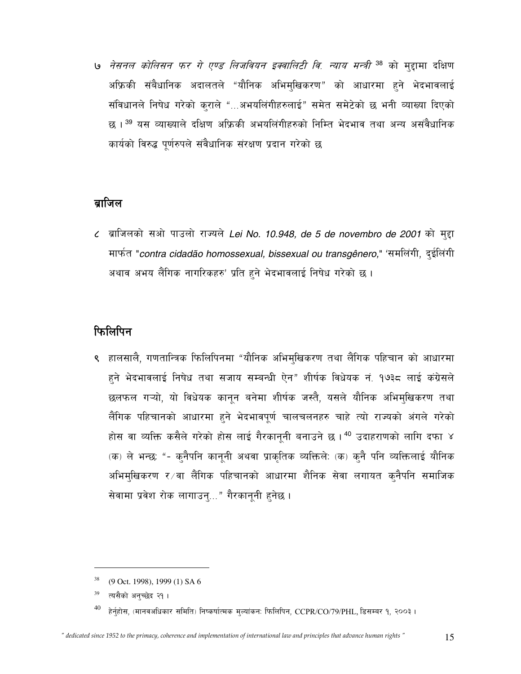و *नेसनल कोलिसन फर गे एण्ड लिजवियन इक्वालिटी वि. न्याय मन्त्री <sup>38</sup> को मुद्दामा दक्षिण* अफ्रिकी संबैधानिक अदालतले "यौनिक अभिमुखिकरण" को आधारमा हुने भेदभावलाई संविधानले निषेध गरेको कराले "...अभयलिंगीहरुलाई" समेत समेटेको छ भनी व्याख्या दिएको छ । <sup>39</sup> यस व्याख्याले दक्षिण अफ्रिकी अभयलिंगीहरुको निम्ति भेदभाव तथा अन्य असंवैधानिक कार्यको विरुद्ध पूर्णरुपले संवैधानिक संरक्षण प्रदान गरेको छ

### ब्राजिल

८ ब्राजिलको सओ पाउलो राज्यले Lei No. 10.948, de 5 de novembro de 2001 को मुद्दा मार्फत "contra cidadão homossexual, bissexual ou transgênero," 'समलिंगी, दुईलिंगी अथाव अभय लैंगिक नागरिकहरु' प्रति हुने भेदभावलाई निषेध गरेको छ ।

# फिलिपिन

९ हालसालै, गणतान्त्रिक फिलिपिनमा "यौनिक अभिमुखिकरण तथा लैंगिक पहिचान को आधारमा हुने भेदभावलाई निषेध तथा सजाय सम्बन्धी ऐन" शीर्षक विधेयक नं. १७३८ लाई कंग्रेसले छलफल गऱ्यो, यो विधेयक कानून बनेमा शीर्षक जस्तै, यसले यौनिक अभिमुखिकरण तथा लैंगिक पहिचानको आधारमा हुने भेदभावपूर्ण चालचलनहरु चाहे त्यो राज्यको अंगले गरेको होस वा व्यक्ति कसैले गरेको होस लाई गैरकानूनी बनाउने छ । <sup>40</sup> उदाहराणको लागि दफा ४ (क) ले भन्छ: "- क्नैपनि कानूनी अथवा प्राकृतिक व्यक्तिले: (क) क्नै पनि व्यक्तिलाई यौनिक अभिमुखिकरण र∕वा लैंगिक पहिचानको आधारमा शैनिक सेवा लगायत क्नैपनि समाजिक सेवामा प्रवेश रोक लागाउनु..." गैरकानूनी हुनेछ ।

<sup>&</sup>lt;sup>38</sup> (9 Oct. 1998), 1999 (1) SA 6

<sup>&</sup>lt;sup>39</sup> त्यसैको अन्च्छेद २१।

हेर्नुहोस, (मानवअधिकार समिति) निष्कर्षात्मक मुल्यांकन: फिलिपिन, CCPR/CO/79/PHL, डिसम्बर १, २००३।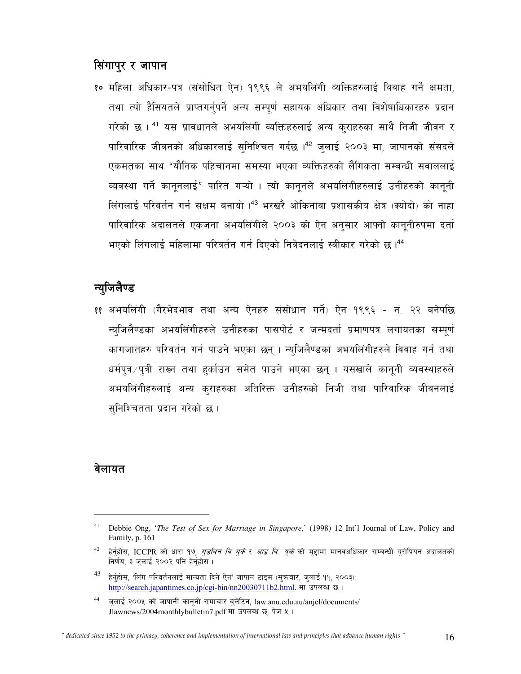# सिंगापुर र जापान

१० महिला अधिकार-पत्र (संसोधित ऐन) १९९६ ले अभयलिंगी व्यक्तिहरुलाई विवाह गर्ने क्षमता, तथा त्यो हैसियतले प्राप्तगर्नुपर्ने अन्य सम्पूर्ण सहायक अधिकार तथा विशेषाधिकारहरु प्रदान गरेको छ । <sup>41</sup> यस प्रावधानले अभयलिंगी व्यक्तिहरुलाई अन्य कुराहरुका साथै निजी जीवन र पारिवारिक जीवनको अधिकारलाई सुनिश्चित गर्दछ ।<sup>42</sup> जुलाई २००३ मा, जापानको संसदले एकमतका साथ "यौनिक पहिचानमा समस्या भएका व्यक्तिहरुको लैंगिकता सम्बन्धी सवाललाई व्यवस्था गर्ने कानूनलाई" पारित गऱ्यो । त्यो कानूनले अभयलिंगीहरुलाई उनीहरुको कानूनी लिंगलाई परिवर्तन गर्न सक्षम बनायो ।<sup>43</sup> भरखरै ओकिनावा प्रशासकीय क्षेत्र (क्योदो) को नाहा पारिवारिक अदालतले एकजना अभयलिंगीले २००३ को ऐन अनुसार आफ्नो कानुनीरुपमा दर्ता भएको लिंगलाई महिलामा परिवर्तन गर्न दिएको निवेदनलाई स्वीकार गरेको छ। <sup>44</sup>

# न्युजिलैण्ड

११ अभयलिंगी (गैरभेदभाव तथा अन्य ऐनहरु संसोधान गर्ने) ऐन १९९६ - नं. २२ बनेपछि न्युजिलैण्डका अभयलिंगीहरुले उनीहरुका पासपोर्ट र जन्मदर्ता प्रमाणपत्र लगायतका सम्पूर्ण कागजातहरु परिवर्तन गर्न पाउने भएका छन् । न्युजिलैण्डका अभयलिंगीहरुले विवाह गर्न तथा धर्मपुत्र / पुत्री राख्न तथा हर्काउन समेत पाउने भएका छन् । यसखाले कानूनी व्यवस्थाहरुले अभयलिंगीहरुलाई अन्य कुराहरुका अतिरिक्त उनीहरुको निजी तथा पारिवारिक जीवनलाई सुनिश्चितता प्रदान गरेको छ ।

#### वेलायत

 $41\,$ Debbie Ong, 'The Test of Sex for Marriage in Singapore,' (1998) 12 Int'l Journal of Law, Policy and Family, p. 161

<sup>42</sup> हेर्नुहोस, ICCPR को धारा १७, *गुडविन वि युके र आइ वि. युके* को मुद्दामा मानवअधिकार सम्बन्धी युरोपियन अदालतको निर्णय, ३ जलाई २००२ पनि हेर्नुहोस ।

<sup>43</sup> हेर्नहोस, 'लिंग परिवर्तनलाई मान्यता दिने ऐन' जापान टाइम (सुक्रबार, जुलाई ११, २००३): http://search.japantimes.co.jp/cgi-bin/nn20030711b2.html. मा उपलब्ध छ।

 $44$ जलाई २००५ को जापानी काननी समाचार बलेटिन, law.anu.edu.au/anjel/documents/ Jlawnews/2004monthlybulletin7.pdf मा उपलब्ध छ, पेज ५ ।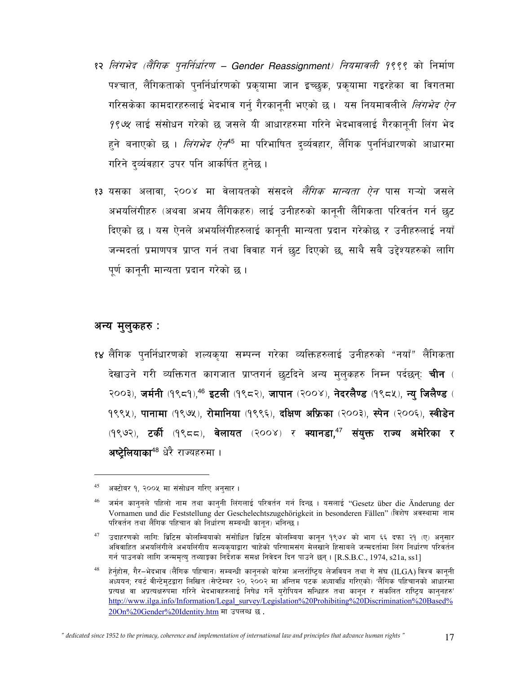- १२ लिंगभेद (लैंगिक पूनर्निर्धारण Gender Reassignment) नियमावली १९९९ को निर्माण पश्चात, लैंगिकताको पुनर्निर्धारणको प्रकुयामा जान इच्छुक, प्रकुयामा गइरहेका वा विगतमा गरिसकेका कामदारहरुलाई भेदभाव गर्न् गैरकानूनी भएको छ । यस नियमावलीले *लिंगभेद ऐन* 9९७१ लाई संसोधन गरेको छ जसले यी आधारहरुमा गरिने भेदभावलाई गैरकाननी लिंग भेद हुने बनाएको छ । *लिंगभेद ऐन*<sup>45</sup> मा परिभाषित द्व्यंवहार, लैंगिक पुनर्निधारणको आधारमा गरिने दर्व्यवहार उपर पनि आकर्षित हुनेछ ।
- १३ यसका अलावा, २००४ मा वेलायतको संसदले *लैंगिक मान्यता ऐन* पास गऱ्यो जसले अभयलिंगीहरु (अथवा अभय लैंगिकहरु) लाई उनीहरुको कानूनी लैंगिकता परिवर्तन गर्न छुट दिएको छ । यस ऐनले अभयलिंगीहरुलाई कानुनी मान्यता प्रदान गरेकोछ र उनीहरुलाई नयाँ जन्मदर्ता प्रमाणपत्र प्राप्त गर्न तथा विवाह गर्न छट दिएको छ, साथै सबै उद्देश्यहरुको लागि पूर्ण कानूनी मान्यता प्रदान गरेको छ।

#### अन्य मुलुकहरु :

१४ लैंगिक पुनर्निधारणको शल्यकुया सम्पन्न गरेका व्यक्तिहरुलाई उनीहरुको "नयाँ" लैंगिकता देखाउने गरी व्यक्तिगत कागजात प्राप्तगर्न छटदिने अन्य मुलुकहरु निम्न पर्दछन्: **चीन** ( २००३), जर्मनी (१९८१),<sup>46</sup> इटली (१९८२), जापान (२००४), नेदरलैण्ड (१९८५), न्यु जिलैण्ड ( 9९९५), पानामा (१९७५), रोमानिया (१९९६), दक्षिण अफ्रिका (२००३), स्पेन (२००६), स्वीडेन (१९७२), टर्की (१९८८), वेलायत (२००४) र क्यानडा,<sup>47</sup> संयुक्त राज्य अमेरिका र अ**ष्टेलियाका<sup>48</sup> धेरै राज्यहरुमा** ।

" dedicated since 1952 to the primacy, coherence and implementation of international law and principles that advance human rights "

<sup>45</sup> अक्टोबर १. २००५ मा संसोधन गरिए अनसार ।

जर्मन काननले पहिलो नाम तथा काननी लिंगलाई परिवर्तन गर्न दिन्छ । यसलाई "Gesetz über die Änderung der Vornamen und die Feststellung der Geschelechtszugehörigkeit in besonderen Fällen" (विशेष अवस्थामा नाम परिवर्तन तथा लैंगिक पहिचान को निर्धारण सम्बन्धी कानुन) भनिन्छ ।

<sup>47</sup> उदाहरणको लागि: ब्रिटिस कोलम्बियाको संसोधित ब्रिटिस कोलम्बिया कानून १९७४ को भाग ६६ दफा २१ (ए) अनुसार अविवाहित अभयलिंगीले अभयलिंगीय सल्यकयाद्वारा चाहेको परिणामसंग मेलखाने हिसाबले जन्मदर्तामा लिंग निर्धारण परिवर्तन गर्न पाउनको लागि जन्ममत्यु तथ्याङ्का निर्देशक समक्ष निवेदन दिन पाउने छन् । [R.S.B.C., 1974, s21a, ss1]

<sup>48</sup> हेर्नुहोस, गैर–भेदभाव (लैंगिक पहिचान) सम्बन्धी कानूनको बारेमा अन्तर्राष्ट्रिय लेजवियन तथा गे संघ (ILGA) विश्व कानूनी अध्ययन; रबर्ट वीन्टेमटद्वारा लिखित (सेप्टेम्बर २०, २००२ मा अन्तिम पटक अध्यावधि गरिएको) 'लैंगिक पहिचानको आधारमा प्रत्यक्ष वा अप्रत्यक्षरुपमा गरिने भेदभावहरुलाई निषेध गर्ने युरोपियन सन्धिहरु तथा कानुन र संकलित राष्ट्रिय कानुनहरु' http://www.ilga.info/Information/Legal\_survey/Legislation%20Prohibiting%20Discrimination%20Based% 20On%20Gender%20Identity.htm मा उपलब्ध छ.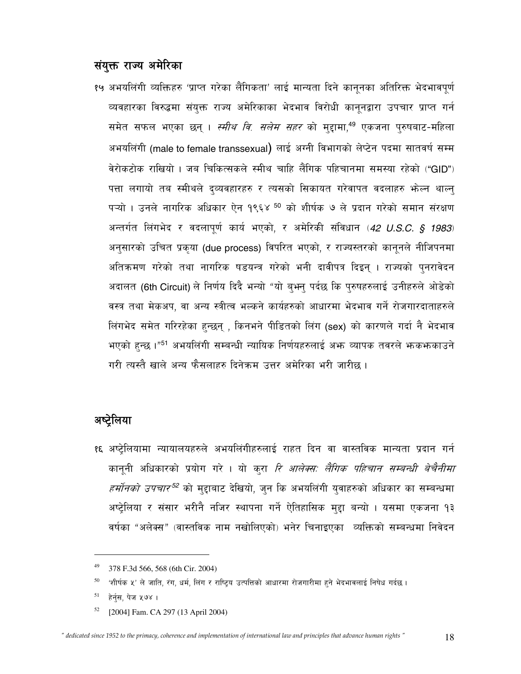# संयुक्त राज्य अमेरिका

१५ अभयलिंगी व्यक्तिहरु 'प्राप्त गरेका लैंगिकता' लाई मान्यता दिने कानूनका अतिरिक्त भेदभावपूर्ण व्यवहारका विरुद्धमा संयुक्त राज्य अमेरिकाका भेदभाव विरोधी कानूनद्वारा उपचार प्राप्त गर्न समेत सफल भएका छन् । *स्मीथ वि. सलेम सहर* को मुद्दामा,<sup>49</sup> एकजना पुरुषबाट-महिला अभयलिंगी (male to female transsexual) लाई अग्नी विभागको लेप्टेन पदमा सातवर्ष सम्म वेरोकटोक राखियो । जब चिकित्सकले स्मीथ चाहि लैंगिक पहिचानमा समस्या रहेको ("GID") पत्ता लगायो तब स्मीथले द्व्यवहारहरु र त्यसको सिकायत गरेवापत वदलाहरु भोल्न थाल्न् पऱ्यो । उनले नागरिक अधिकार ऐन १९६४ <sup>50</sup> को शीर्षक ७ ले प्रदान गरेको समान संरक्षण अन्तर्गत लिंगभेद र वदलापूर्ण कार्य भएको, र अमेरिकी संविधान (42 U.S.C. § 1983) अनुसारको उचित प्रकृया (due process) विपरित भएको, र राज्यस्तरको कानूनले नीजिपनमा अतिक्रमण गरेको तथा नागरिक षडयन्त्र गरेको भनी दावीपत्र दिइन् । राज्यको पुनरावेदन अदालत (6th Circuit) ले निर्णय दिदै भन्यो "यो ब्भन् पर्दछ कि पुरुषहरुलाई उनीहरुले ओडेको वस्त्र तथा मेकअप, वा अन्य स्त्रीत्व भल्कने कार्यहरुको आधारमा भेदभाव गर्ने रोजगारदाताहरुले लिंगभेद समेत गरिरहेका हुन्छन् , किनभने पीडितको लिंग (sex) को कारणले गर्दा नै भेदभाव भएको हुन्छ ।"<sup>51</sup> अभयलिंगी सम्बन्धी न्यायिक निर्णयहरुलाई अफ्न व्यापक तवरले फ़कफ़काउने गरी त्यस्तै खाले अन्य फैसलाहरु दिनेकम उत्तर अमेरिका भरी जारीछ ।

#### अष्टेलिया

१६ अष्ट्रेलियामा न्यायालयहरुले अभयलिंगीहरुलाई राहत दिन वा वास्तविक मान्यता प्रदान गर्न कानुनी अधिकारको प्रयोग गरे । यो करा *रि आलेक्स: लैंगिक पहिचान सम्बन्धी बेचैनीमा हर्मोनको उपचार<sup>52</sup> को मुद्दाबाट देखियो, जुन कि अभयलिंगी युवाहरुको अधिकार का सम्बन्धमा* अष्ट्रेलिया र संसार भरीनै नजिर स्थापना गर्ने ऐतिहासिक मुद्दा बन्यो । यसमा एकजना १३ वर्षका "अलेक्स" (वास्तविक नाम नखोलिएको) भनेर चिनाइएका व्यक्तिको सम्बन्धमा निवेदन

<sup>49</sup> 378 F.3d 566, 568 (6th Cir. 2004)

<sup>50</sup> 'शीर्षक ५' ले जाति, रंग, धर्म, लिंग र राष्ट्रिय उत्पत्तिको आधारमा रोजगारीमा हुने भेदभावलाई निषेध गर्दछ ।

<sup>51</sup> हेर्नुस, पेज ५७४ ।

<sup>52</sup> [2004] Fam. CA 297 (13 April 2004)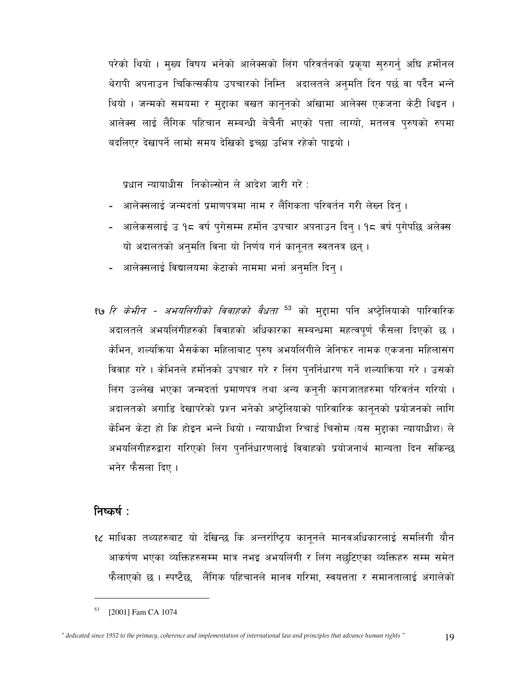परेको थियो । मुख्य विषय भनेको आलेक्सको लिंग परिवर्तनको प्रकृया सुरुगर्न् अघि हर्मोनल थेरापी अपनाउन चिकित्सकीय उपचारको निम्ति अदालतले अनुमति दिन पर्छ वा पर्दैन भन्ने थियो । जन्मको समयमा र मुद्दाका वखत कानूनको आँखामा आलेक्स एकजना केटी थिइन । आलेक्स लाई लैंगिक पहिचान सम्बन्धी बेचैनी भएको पत्ता लाग्यो, मतलव पुरुषको रुपमा बदलिएर देखापर्ने लामो समय देखिको इच्छा उभित्र रहेको पाइयो ।

प्रधान न्यायाधीस निकोल्सोन ले आदेश जारी गरे :

- आलेक्सलाई जन्मदर्ता प्रमाणपत्रमा नाम र लैंगिकता परिवर्तन गरी लेख्न दिन् ।
- आलेकसलाई उ १८ वर्ष पुगेसम्म हर्मोन उपचार अपनाउन दिनु । १८ वर्ष पुगेपछि अलेक्स यो अदालतको अनुमति विना यो निर्णय गर्न कानूनत स्वतनत्र छन्।
- आलेक्सलाई विद्यालयमा केटाको नाममा भर्ना अनुमति दिन् ।
- *१७ रि केभीन अभयलिंगीको विवाहको वैधता* <sup>53</sup> को मुद्दामा पनि अष्ट्रेलियाको पारिवारिक अदालतले अभयलिंगीहरुको विवाहको अधिकारका सम्बन्धमा महत्वपूर्ण फैसला दिएको छ । केभिन, शल्यक्रिया भैसकेका महिलाबाट पुरुष अभयलिंगीले जेनिफर नामक एकजना महिलासंग विवाह गरे। केभिनले हर्मोनको उपचार गरे र लिंग पुनर्निधारण गर्ने शल्याकिया गरे। उसको लिंग उल्लेख भएका जन्मदर्ता प्रमाणपत्र तथा अन्य कन्**नी कागजातहरुमा परिवर्तन गरियो** । अदालतको अगाडि देखापरेको प्रश्न भनेको अष्ट्रेलियाको पारिवारिक कानूनको प्रयोजनको लागि केभिन केटा हो कि होइन भन्ने थियो । न्यायाधीश रिचार्ड चिसोम (यस मुद्दाका न्यायाधीश) ले अभयलिंगीहरुद्वारा गरिएको लिंग पुनर्निधारणलाई विवाहको प्रयोजनार्थ मान्यता दिन सकिन्छ भनेर फैसला दिए।

#### निष्कर्ष $\colon$

१८ माथिका तथ्यहरुबाट यो देखिन्छ कि अन्तर्राष्ट्रिय कानुनले मानवअधिकारलाई समलिंगी यौन आकर्षण भएका व्यक्तिहरुसम्म मात्र नभइ अभयलिंगी र लिंग नछुटिएका व्यक्तिहरु सम्म समेत फैलाएको छ । स्पष्टैछ, लैंगिक पहिचानले मानव गरिमा, स्वयत्तता र समानतालाई अंगालेको

<sup>[2001]</sup> Fam CA 1074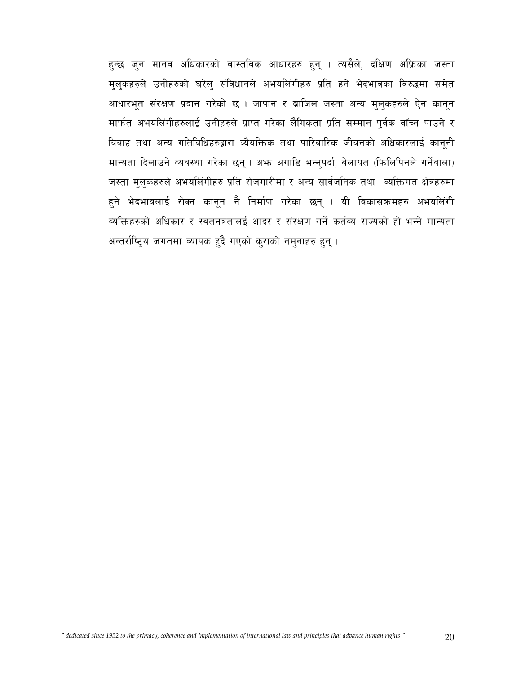हुन्छ जुन मानव अधिकारको वास्तविक आधारहरु हुन् । त्यसैले, दक्षिण अफ्रिका जस्ता मुलुकहरुले उनीहरुको घरेलु संविधानले अभयलिंगीहरु प्रति हने भेदभावका विरुद्धमा समेत आधारभूत संरक्षण प्रदान गरेको छ । जापान र ब्राजिल जस्ता अन्य मुलुकहरुले ऐन कानून मार्फत अभयलिंगीहरुलाई उनीहरुले प्राप्त गरेका लैंगिकता प्रति सम्मान पुर्वक वाँच्न पाउने र विवाह तथा अन्य गतिविधिहरुद्वारा व्यैयक्तिक तथा पारिवारिक जीवनको अधिकारलाई कानूनी मान्यता दिलाउने व्यवस्था गरेका छन्। अफ्न अगाडि भन्नुपर्दा, वेलायत (फिलिपिनले गर्नेवाला) जस्ता मुलुकहरुले अभयलिंगीहरु प्रति रोजगारीमा र अन्य सार्वजनिक तथा व्यक्तिगत क्षेत्रहरुमा हुने भेदभावलाई रोक्न कानून नै निर्माण गरेका छन् । यी विकासक्रमहरु अभयलिंगी व्यक्तिहरुको अधिकार र स्वतनत्रतालई आदर र संरक्षण गर्ने कर्तव्य राज्यको हो भन्ने मान्यता अन्तर्राष्ट्रिय जगतमा व्यापक हुदै गएको कुराको नमुनाहरु हुन् ।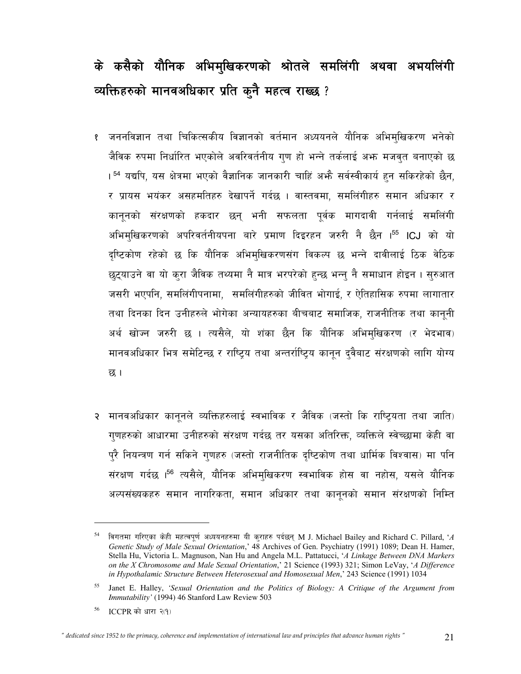# के कसैको यौनिक अभिमुखिकरणको श्रोतले समलिंगी अथवा अभयलिंगी व्यक्तिहरुको मानवअधिकार प्रति कुनै महत्व राख्छ ?

- जननविज्ञान तथा चिकित्सकीय विज्ञानको वर्तमान अध्ययनले यौनिक अभिमुखिकरण भनेको जैविक रुपमा निर्धारित भएकोले अवरिवर्तनीय गुण हो भन्ने तर्कलाई अभ्र मजवत बनाएको छ । <sup>54</sup> यद्यपि, यस क्षेत्रमा भएको वैज्ञानिक जानकारी चाहिं अभ्गै सर्वस्वीकार्य हुन सकिरहेको छैन, र प्रायस भयंकर असहमतिहरु देखापर्ने गर्दछ । वास्तवमा, समलिंगीहरु समान अधिकार र कानुनको संरक्षणको हकदार छन् भनी सफलता पुर्वक मागदावी गर्नलाई समलिंगी अभिमुखिकरणको अपरिवर्तनीयपना बारे प्रमाण दिइरहन जरुरी नै छैन ।<sup>55</sup> ICJ को यो दष्टिकोण रहेको छ कि यौनिक अभिमुखिकरणसंग विकल्प छ भन्ने दावीलाई ठिक वेठिक छुट्याउने वा यो कुरा जैविक तथ्यमा नै मात्र भरपरेको हुन्छ भन्नु नै समाधान होइन । सुरुआत जसरी भएपनि, समलिंगीपनामा, समलिंगीहरुको जीवित भोगाई, र ऐतिहासिक रुपमा लागातार तथा दिनका दिन उनीहरुले भोगेका अन्यायहरुका बीचबाट समाजिक, राजनीतिक तथा कानूनी अर्थ खोज्न जरुरी छ । त्यसैले, यो शंका छैन कि यौनिक अभिमुखिकरण (र भेदभाव) मानवअधिकार भित्र समेटिन्छ र राष्ट्रिय तथा अन्तर्राष्ट्रिय कानुन दुवैबाट संरक्षणको लागि योग्य छ ।
- २ मानवअधिकार कानूनले व्यक्तिहरुलाई स्वभाविक र जैविक (जस्तो कि राष्ट्रियता तथा जाति) गणहरुको आधारमा उनीहरुको संरक्षण गर्दछ तर यसका अतिरिक्त, व्यक्तिले स्वेच्छामा केही वा पुरै नियन्त्रण गर्न सकिने गणहरु (जस्तो राजनीतिक दष्टिकोण तथा धार्मिक विश्वास) मा पनि संरक्षण गर्दछ ।<sup>56</sup> त्यसैले, यौनिक अभिमुखिकरण स्वभाविक होस वा नहोस, यसले यौनिक अल्पसंख्यकहरु समान नागरिकता, समान अधिकार तथा कानूनको समान संरक्षणको निम्ति

<sup>54</sup> विगतमा गरिएका केही महत्वपूर्ण अध्ययनहरुमा यी कराहरु पर्दछन् M J. Michael Bailey and Richard C. Pillard, 'A Genetic Study of Male Sexual Orientation,' 48 Archives of Gen. Psychiatry (1991) 1089; Dean H. Hamer, Stella Hu, Victoria L. Magnuson, Nan Hu and Angela M.L. Pattatucci, 'A Linkage Between DNA Markers on the X Chromosome and Male Sexual Orientation,' 21 Science (1993) 321; Simon LeVay, 'A Difference in Hypothalamic Structure Between Heterosexual and Homosexual Men,' 243 Science (1991) 1034

<sup>55</sup> Janet E. Halley, 'Sexual Orientation and the Politics of Biology: A Critique of the Argument from Immutability' (1994) 46 Stanford Law Review 503

<sup>56</sup>  $ICCPR$  को धारा २(१)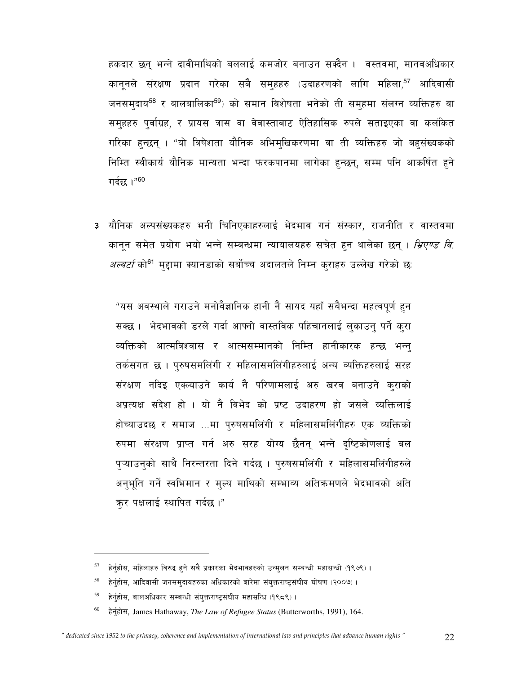हकदार छन् भन्ने दावीमाथिको बललाई कमजोर बनाउन सक्दैन । वस्तवमा, मानवअधिकार कानूनले संरक्षण प्रदान गरेका सबै समुहहरु (उदाहरणको लागि महिला,<sup>57</sup> आदिवासी जनसमुदाय<sup>58</sup> र बालबालिका<sup>59</sup>) को समान विशेषता भनेको ती समुहमा संलग्न व्यक्तिहरु वा समुहहरु पुर्वाग्रह, र प्रायस त्रास वा वेवास्ताबाट ऐतिहासिक रुपले सताइएका वा कलंकित गरिका हुन्छन् । "यो विषेशता यौनिक अभिमुखिकरणमा वा ती व्यक्तिहरु जो बहुसंख्यकको निम्ति स्वीकार्य यौनिक मान्यता भन्दा फरकपानमा लागेका हुन्छन्, सम्म पनि आकर्षित हुने गर्दछ ।"60

३ यौनिक अल्पसंख्यकहरु भनी चिनिएकाहरुलाई भेदभाव गर्न संस्कार, राजनीति र वास्तवमा कानून समेत प्रयोग भयो भन्ने सम्बन्धमा न्यायालयहरु सचेत हन थालेका छन्। *भ्रिएण्ड वि. अल्वर्टा* को<sup>61</sup> मुद्दामा क्यानडाको सर्बोच्च अदालतले निम्न कुराहरु उल्लेख गरेको छ:

"यस अवस्थाले गराउने मनोवैज्ञानिक हानी नै सायद यहाँ सबैभन्दा महत्वपूर्ण हुन सक्छ। भेदभावको डरले गर्दा आफ्नो वास्तविक पहिचानलाई लुकाउन् पर्ने क्रा व्यक्तिको आत्मविश्वास र आत्मसम्मानको निम्ति हानीकारक हन्छ भन्न् तर्कसंगत छ । पुरुषसमलिंगी र महिलासमलिंगीहरुलाई अन्य व्यक्तिहरुलाई सरह संरक्षण नदिइ एक्ल्याउने कार्य नै परिणामलाई अरु खरव बनाउने कराको अप्रत्यक्ष संदेश हो । यो नै विभेद को प्रष्ट उदाहरण हो जसले व्यक्तिलाई होच्याउदछ र समाज ...मा पुरुषसमलिंगी र महिलासमलिंगीहरु एक व्यक्तिको रुपमा संरक्षण प्राप्त गर्न अरु सरह योग्य छैनन् भन्ने दृष्टिकोणलाई बल प्ऱ्याउन्को साथै निरन्तरता दिने गर्दछ । प्रुषसमलिंगी र महिलासमलिंगीहरुले अनुभूति गर्ने स्वभिमान र मुल्य माथिको सम्भाव्य अतिक्रमणले भेदभावको अति कर पक्षलाई स्थापित गर्दछ।"

हेर्नुहोस, महिलाहरु विरुद्ध हुने सबै प्रकारका भेदभावहरुको उन्मुलन सम्बन्धी महासन्धी (१९७९)।

<sup>58</sup> हेर्नुहोस, आदिवासी जनसमुदायहरुका अधिकारको बारेमा संयुक्तराष्ट्रसंघीय घोषण (२००७)।

<sup>59</sup> हेर्नुहोस, बालअधिकार सम्बन्धी संयुक्तराष्ट्रसंघीय महासन्धि (१९८९)।

<sup>60</sup> हेर्नुहोस, James Hathaway, The Law of Refugee Status (Butterworths, 1991), 164.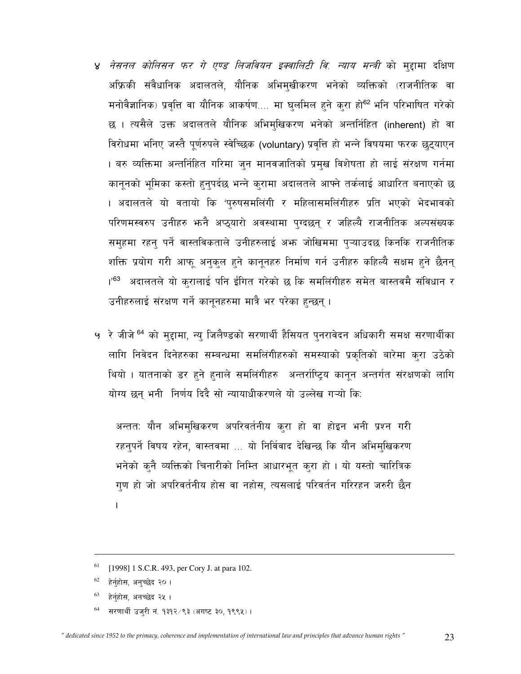- ४ *नेसनल कोलिसन फर गे एण्ड लिजवियन इक्वालिटी वि. न्याय मन्त्री* को मुद्दामा दक्षिण अफ्रिकी संवैधानिक अदालतले, यौनिक अभिमुखीकरण भनेको व्यक्तिको (राजनीतिक वा मनोवैज्ञानिक) प्रवृत्ति वा यौनिक आकर्षण.... मा घुलमिल हुने कुरा हो<sup>62</sup> भनि परिभाषित गरेको छ । त्यसैले उक्त अदालतले यौनिक अभिमुखिकरण भनेको अन्तर्निहित (inherent) हो वा विरोधमा भनिए जस्तै पूर्णरुपले स्वेच्छिक (voluntary) प्रवृत्ति हो भन्ने विषयमा फरक छुट्याएन । बरु व्यक्तिमा अन्तर्निहित गरिमा जुन मानवजातिको प्रमुख विशेषता हो लाई संरक्षण गर्नमा कानूनको भूमिका कस्तो हुनुपर्दछ भन्ने कुरामा अदालतले आफ्ने तर्कलाई आधारित बनाएको छ । अदालतले यो वतायो कि 'पुरुषसमलिंगी र महिलासमलिंगीहरु प्रति भएको भेदभावको परिणमस्वरुप उनीहरु भन्नै अप्ठ्यारो अवस्थामा पुग्दछन् र जहिल्यै राजनीतिक अल्पसंख्यक समुहमा रहन् पर्ने वास्तविकताले उनीहरुलाई अफ्न जोखिममा प्ऱ्याउदछ किनकि राजनीतिक शक्ति प्रयोग गरी आफू अनुकुल हुने कानूनहरु निर्माण गर्न उनीहरु कहिल्यै सक्षम हुने छैनन् ।'<sup>63</sup> अदालतले यो क्**रालाई पनि ईंगित गरेको छ कि समलिंगीहरु स**मेत बास्तवमै संविधान र उनीहरुलाई संरक्षण गर्ने कानूनहरुमा मात्रै भर परेका हुन्छन् ।
- ५ रे जीजे <sup>64</sup> को मुद्दामा, न्यू जिलैण्डको सरणार्थी हैसियत पुनरावेदन अधिकारी समक्ष सरणार्थीका लागि निवेदन दिनेहरुका सम्बन्धमा समलिंगीहरुको समस्याको प्रकृतिको बारेमा कुरा उठेको थियो । यातनाको डर हुने हुनाले समलिंगीहरु अन्तर्राष्ट्रिय कानुन अन्तर्गत संरक्षणको लागि योग्य छन् भनी निर्णय दिदै सो न्यायाधीकरणले यो उल्लेख गऱ्यो कि:

अन्ततः यौन अभिमुखिकरण अपरिवर्तनीय करा हो वा होइन भनी प्रश्न गरी रहनुपर्ने विषय रहेन, वास्तवमा ... यो निर्विवाद देखिन्छ कि यौन अभिमुखिकरण भनेको क्नै व्यक्तिको चिनारीको निम्ति आधारभूत कुरा हो । यो यस्तो चारित्रिक गुण हो जो अपरिवर्तनीय होस वा नहोस, त्यसलाई परिवर्तन गरिरहन जरुरी छैन  $\overline{1}$ 

सरणार्थी उजुरी नं. १३१२/९३ (अगष्ट ३०, १९९५)।

<sup>61</sup> [1998] 1 S.C.R. 493, per Cory J. at para 102.

<sup>62</sup> हेर्नुहोस, अनुच्छेद २० ।

<sup>&</sup>lt;sup>63</sup> हेर्नुहोस, अनच्छेद २५ ।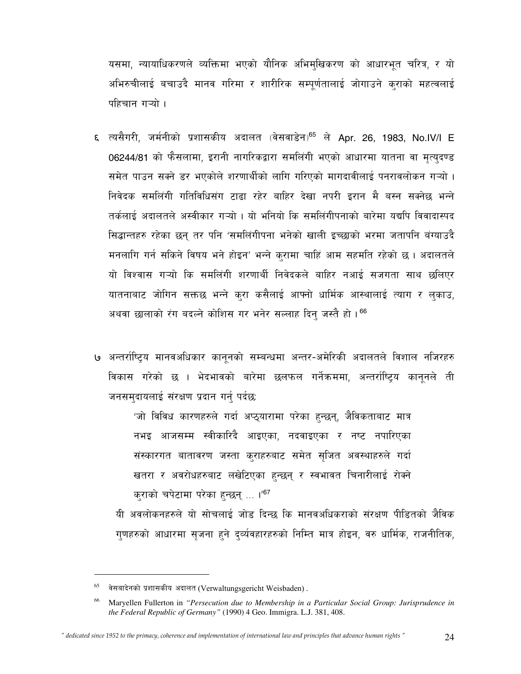यसमा, न्यायाधिकरणले व्यक्तिमा भएको यौनिक अभिमुखिकरण को आधारभूत चरित्र, र यो अभिरुचीलाई बचाउदै मानव गरिमा र शारीरिक सम्पूर्णतालाई जोगाउने कराको महत्वलाई पहिचान गऱ्यो ।

- ६ त्यसैगरी, जर्मनीको प्रशासकीय अदालत (वेसवाडेन)<sup>65</sup> ले Apr. 26, 1983, No.IV/I E 06244/81 को फैसलामा, इरानी नागरिकद्वारा समलिंगी भएको आधारमा यातना वा मृत्युदण्ड समेत पाउन सक्ने डर भएकोले शरणार्थीको लागि गरिएको मागदावीलाई पनरावलोकन गऱ्यो । निवेदक समलिंगी गतिविधिसंग टाढा रहेर बाहिर देखा नपरी इरान मै बस्न सक्नेछ भन्ने तर्कलाई अदालतले अस्वीकार गऱ्यो । यो भनियो कि समलिंगीपनाको बारेमा यद्यपि विवादास्पद सिद्धान्तहरु रहेका छन् तर पनि 'समलिंगीपना भनेको खाली इच्छाको भरमा जतापनि बंग्याउदै मनलागि गर्न सकिने विषय भने होइन' भन्ने करामा चाहिं आम सहमति रहेको छ। अदालतले यो विश्वास गऱ्यो कि समलिंगी शरणार्थी निवेदकले बाहिर नआई सजगता साथ छलिएर यातनाबाट जोगिन सक्तछ भन्ने कुरा कसैलाई आफ्नो धार्मिक आस्थालाई त्याग र लुकाउ, अथवा छालाको रंग बदल्ने कोशिस गर भनेर सल्लाह दिन जस्तै हो। 66
- अन्तर्राष्ट्रिय मानवअधिकार कानुनको सम्बन्धमा अन्तर-अमेरिकी अदालतले विशाल नजिरहरु विकास गरेको छ । भेदभावको बारेमा छलफल गर्नेक्रममा, अन्तर्राष्ट्रिय कानूनले ती जनसम्दायलाई संरक्षण प्रदान गर्नु पर्दछ:

'जो विविध कारणहरुले गर्दा अप्ठ्यारामा परेका हुन्छन्, जैविकताबाट मात्र नभइ आजसम्म स्वीकारिदै आइएका, नदवाइएका र नष्ट नपारिएका संस्कारगत बातावरण जस्ता कुराहरुबाट समेत सुजित अवस्थाहरुले गर्दा खतरा र अवरोधहरुबाट लखेटिएका हुन्छन् र स्वभावत चिनारीलाई रोक्ने कराको चपेटामा परेका हुन्छन् ... ।'67

यी अवलोकनहरुले यो सोचलाई जोड दिन्छ कि मानवअधिकराको संरक्षण पीडितको जैविक गुणहरुको आधारमा सुजना हुने दुर्व्यवहारहरुको निम्ति मात्र होइन, वरु धार्मिक, राजनीतिक,

वेसबादेनको प्रशासकीय अदालत (Verwaltungsgericht Weisbaden).

<sup>66</sup> Maryellen Fullerton in "Persecution due to Membership in a Particular Social Group: Jurisprudence in the Federal Republic of Germany" (1990) 4 Geo. Immigra. L.J. 381, 408.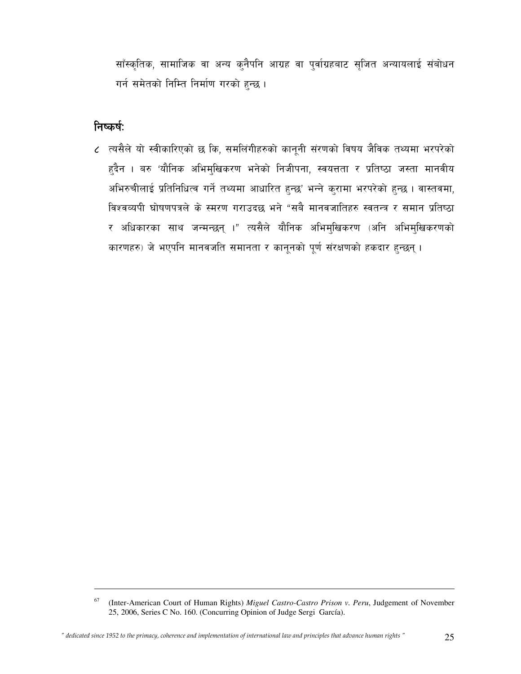साँस्कृतिक, सामाजिक वा अन्य क्नैपनि आग्रह वा पुर्वाग्रहबाट सृजित अन्यायलाई संबोधन गर्न समेतको निम्ति निर्माण गरको हुन्छ।

### निष्कर्षः

l

 $\epsilon$  त्यसैले यो स्वीकारिएको छ कि, समलिंगीहरुको कानूनी संरणको विषय जैविक तथ्यमा भरपरेको हुदैन । बरु 'यौनिक अभिमुखिकरण भनेको निजीपना, स्वयत्तता र प्रतिष्ठा जस्ता मानवीय अभिरुचीलाई प्रतिनिधित्व गर्ने तथ्यमा आधारित हुन्छ' भन्ने कुरामा भरपरेको हुन्छ । वास्तवमा, विश्वव्यपी घोषणपत्रले के स्मरण गराउदछ भने "सबै मानवजातिहरु स्वतन्त्र र समान प्रतिष्ठा र अधिकारका साथ जन्मन्छन् ।" त्यसैले यौनिक अभिमुखिकरण (अनि अभिमुखिकरणको कारणहरु) जे भएपनि मानवजति समानता र कानूनको पूर्ण संरक्षणको हकदार हुन्छन् ।

<sup>67</sup> (Inter-American Court of Human Rights) *Miguel Castro-Castro Prison v. Peru*, Judgement of November 25, 2006, Series C No. 160. (Concurring Opinion of Judge Sergi García).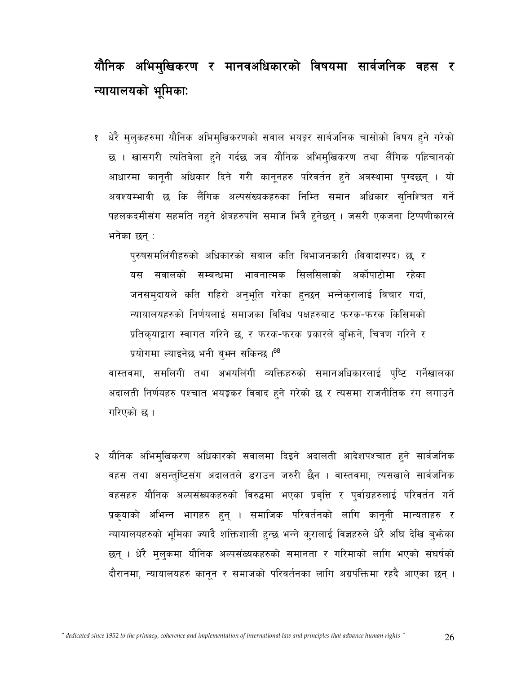# यौनिक अभिमुखिकरण र मानवअधिकारको विषयमा सार्वजनिक वहस र न्यायालयको भूमिकाः

१ धेरै मुलुकहरुमा यौनिक अभिमुखिकरणको सवाल भयङ्कर सार्बजनिक चासोको विषय हुने गरेको छ । खासगरी त्यतिबेला हुने गर्दछ जब यौनिक अभिमुखिकरण तथा लैंगिक पहिचानको आधारमा कानूनी अधिकार दिने गरी कानूनहरु परिवर्तन हुने अवस्थामा पुग्दछन् । यो अवश्यम्भावी छ कि लैंगिक अल्पसंख्यकहरुका निम्ति समान अधिकार सुनिश्चित गर्ने पहलकदमीसंग सहमति नहने क्षेत्रहरुपनि समाज भित्रै हनेछन् । जसरी एकजना टिप्पणीकारले भनेका छन् :

पुरुषसमलिंगीहरुको अधिकारको सवाल कति विभाजनकारी (विवादास्पद) छ, र यस सवालको सम्बन्धमा भावनात्मक सिलसिलाको अर्कोपाटोमा रहेका जनसमुदायले कति गहिरो अनुभूति गरेका हुन्छन् भन्नेकरालाई विचार गर्दा, न्यायालयहरुको निर्णयलाई समाजका विविध पक्षहरुबाट फरक-फरक किसिमको प्रतिकृयाद्वारा स्वागत गरिने छ, र फरक-फरक प्रकारले बुभिने, चित्रण गरिने र प्रयोगमा ल्याइनेछ भनी बुभन सकिन्छ ।<sup>68</sup>

वास्तवमा, समलिंगी तथा अभयलिंगी व्यक्तिहरुको समानअधिकारलाई पुष्टि गर्नेखालका अदालती निर्णयहरु पश्चात भयङ्कर विवाद हुने गरेको छ र त्यसमा राजनीतिक रंग लगाउने गरिएको छ।

२ यौनिक अभिमुखिकरण अधिकारको सवालमा दिइने अदालती आदेशपश्चात हुने सार्वजनिक वहस तथा असन्तुष्टिसंग अदालतले डराउन जरुरी छैन । वास्तवमा, त्यसखाले सार्वजनिक वहसहरु यौनिक अल्पसंख्यकहरुको विरुद्धमा भएका प्रबृत्ति र पुर्वाग्रहरुलाई परिवर्तन गर्ने प्रकृयाको अभिन्न भागहरु हुन् । समाजिक परिवर्तनको लागि कानूनी मान्यताहरु र न्यायालयहरुको भूमिका ज्यादै शक्तिशाली हुन्छ भन्ने कुरालाई विज्ञहरुले धेरै अघि देखि बुभ्रेका छन् । धेरै मुलुकमा यौनिक अल्पसंख्यकहरुको समानता र गरिमाको लागि भएको संघर्षको दौरानमा, न्यायालयहरु कानून र समाजको परिवर्तनका लागि अग्रपंक्तिमा रहदै आएका छन् ।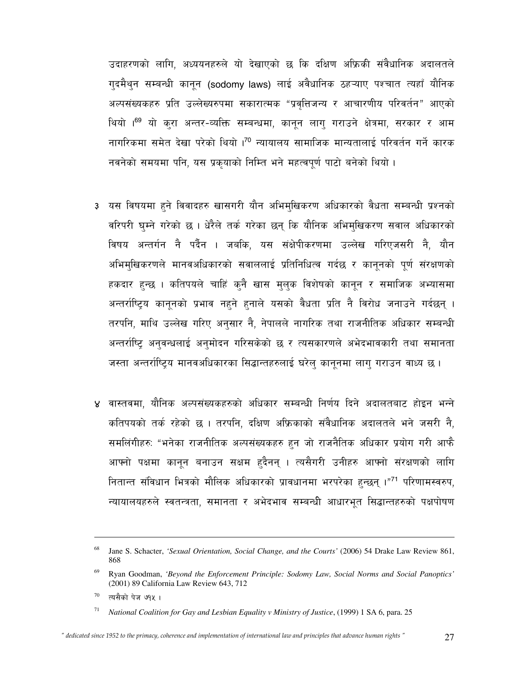उदाहरणको लागि, अध्ययनहरुले यो देखाएको छ कि दक्षिण अफ्रिकी संवैधानिक अदालतले गुदमैथुन सम्बन्धी कानून (sodomy laws) लाई अवैधानिक ठहऱ्याए पश्चात त्यहाँ यौनिक अल्पसंख्यकहरु प्रति उल्लेख्यरुपमा सकारात्मक "प्रवत्तिजन्य र आचारणीय परिवर्तन" आएको थियो ।<sup>69</sup> यो करा अन्तर-व्यक्ति सम्बन्धमा, कानुन लागु गराउने क्षेत्रमा, सरकार र आम नागरिकमा समेत देखा परेको थियो ।<sup>70</sup> न्यायालय सामाजिक मान्यतालाई परिवर्तन गर्ने कारक नवनेको समयमा पनि, यस प्रकृयाको निम्ति भने महत्वपूर्ण पाटो बनेको थियो ।

- ३ यस विषयमा हुने विवादहरु खासगरी यौन अभिमुखिकरण अधिकारको वैधता सम्बन्धी प्रश्नको वरिपरी घुम्ने गरेको छ । धेरैले तर्क गरेका छन् कि यौनिक अभिमुखिकरण सवाल अधिकारको विषय अन्तर्गन नै पर्दैन । जबकि, यस संक्षेपीकरणमा उल्लेख गरिएजसरी नै, यौन अभिमुखिकरणले मानवअधिकारको सवाललाई प्रतिनिधित्व गर्दछ र कानूनको पूर्ण संरक्षणको हकदार हुन्छ । कतिपयले चाहिं कुनै खास मुलुक विशेषको कानून र समाजिक अभ्यासमा अन्तर्राष्ट्रिय कानुनको प्रभाव नहने हुनाले यसको वैधता प्रति नै विरोध जनाउने गर्दछन् । तरपनि, माथि उल्लेख गरिए अनुसार नै, नेपालले नागरिक तथा राजनीतिक अधिकार सम्बन्धी अन्तर्राष्ट्रि अनुवन्धलाई अनुमोदन गरिसकेको छ र त्यसकारणले अभेदभावकारी तथा समानता जस्ता अन्तर्राष्ट्रिय मानवअधिकारका सिद्धान्तहरुलाई घरेल् कानूनमा लाग् गराउन वाध्य छ।
- ४ वास्तवमा, यौनिक अल्पसंख्यकहरुको अधिकार सम्बन्धी निर्णय दिने अदालतबाट होइन भन्ने कतिपयको तर्क रहेको छ । तरपनि, दक्षिण अफ्रिकाको संवैधानिक अदालतले भने जसरी नै, समलिंगीहरुः "भनेका राजनीतिक अल्पसंख्यकहरु हुन जो राजनैतिक अधिकार प्रयोग गरी आफै आफ्नो पक्षमा कानून बनाउन सक्षम हुदैनन् । त्यसैगरी उनीहरु आफ्नो संरक्षणको लागि नितान्त संविधान भित्रको मौलिक अधिकारको प्रावधानमा भरपरेका हुन्छन् ।"<sup>71</sup> परिणामस्वरुप, न्यायालयहरुले स्वतन्त्रता, समानता र अभेदभाव सम्बन्धी आधारभूत सिद्धान्तहरुको पक्षपोषण

<sup>68</sup> Jane S. Schacter, 'Sexual Orientation, Social Change, and the Courts' (2006) 54 Drake Law Review 861, 868

<sup>69</sup> Ryan Goodman, 'Beyond the Enforcement Principle: Sodomy Law, Social Norms and Social Panoptics' (2001) 89 California Law Review 643, 712

<sup>70</sup> त्यसैको पेज ७१५ ।

<sup>71</sup> National Coalition for Gay and Lesbian Equality v Ministry of Justice, (1999) 1 SA 6, para. 25